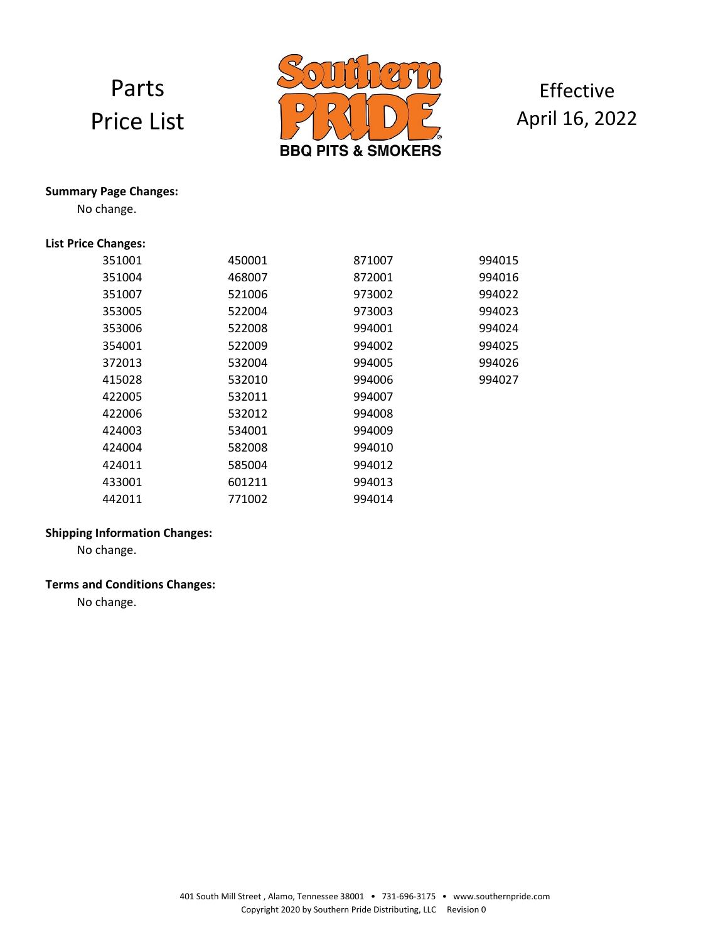# Parts Price List



### Effective April 16, 2022

#### **Summary Page Changes:**

No change.

#### **List Price Changes:**

| 351001 | 450001 | 871007 | 994015 |
|--------|--------|--------|--------|
| 351004 | 468007 | 872001 | 994016 |
| 351007 | 521006 | 973002 | 994022 |
| 353005 | 522004 | 973003 | 994023 |
| 353006 | 522008 | 994001 | 994024 |
| 354001 | 522009 | 994002 | 994025 |
| 372013 | 532004 | 994005 | 994026 |
| 415028 | 532010 | 994006 | 994027 |
| 422005 | 532011 | 994007 |        |
| 422006 | 532012 | 994008 |        |
| 424003 | 534001 | 994009 |        |
| 424004 | 582008 | 994010 |        |
| 424011 | 585004 | 994012 |        |
| 433001 | 601211 | 994013 |        |
| 442011 | 771002 | 994014 |        |

#### **Shipping Information Changes:**

No change.

#### **Terms and Conditions Changes:**

No change.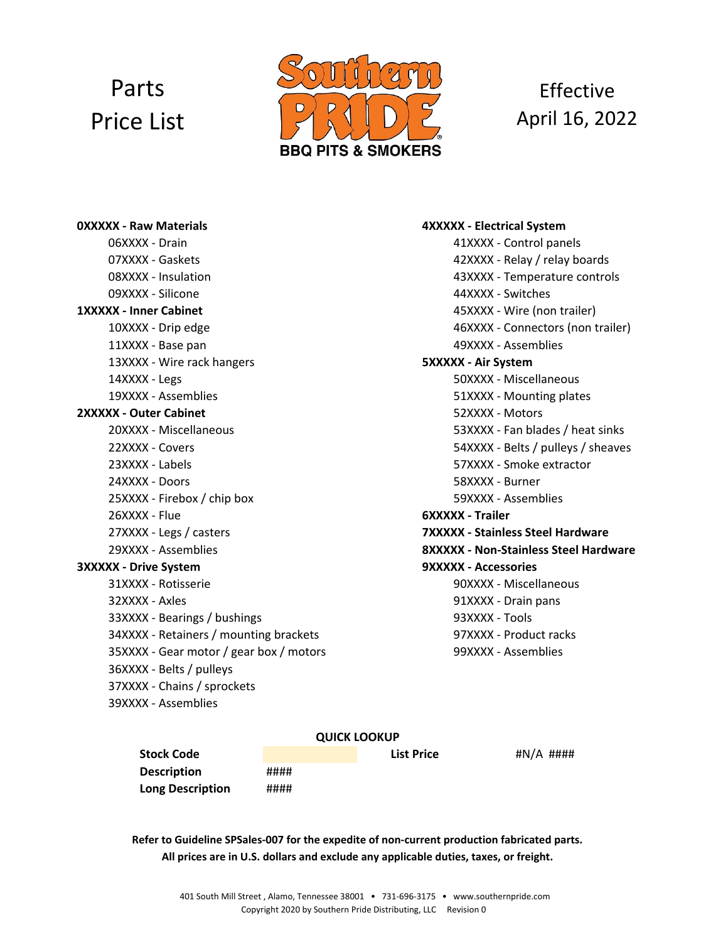# Parts Price List



## **Effective** April 16, 2022

06XXXX ‐ Drain 41XXXX ‐ Control panels 07XXXX ‐ Gaskets 42XXXX ‐ Relay / relay boards 08XXXX ‐ Insulation 43XXXX ‐ Temperature controls 09XXXX ‐ Silicone 44XXXX ‐ Switches **1XXXXX ‐ Inner Cabinet** 45XXXX ‐ Wire (non trailer) 11XXXX ‐ Base pan 49XXXX ‐ Assemblies 13XXXX ‐ Wire rack hangers **5XXXXX ‐ Air System** 14XXXX - Legs 50XXXX - Miscellaneous 19XXXX - Assemblies 61XXXX – Mounting plates **2XXXXX ‐ Outer Cabinet** 52XXXX ‐ Motors 20XXXX ‐ Miscellaneous 53XXXX ‐ Fan blades / heat sinks 23XXXX ‐ Labels 57XXXX ‐ Smoke extractor 24XXXX ‐ Doors 58XXXX ‐ Burner 25XXXX - Firebox / chip box 59XXXX - Assemblies 26XXXX ‐ Flue **6XXXXX ‐ Trailer** 27XXXX ‐ Legs / casters **7XXXXX ‐ Stainless Steel Hardware 3XXXXX ‐ Drive System 9XXXXX ‐ Accessories** 31XXXX ‐ Rotisserie 90XXXX ‐ Miscellaneous 32XXXX ‐ Axles 91XXXX ‐ Drain pans 33XXXX ‐ Bearings / bushings 93XXXX ‐ Tools 34XXXX - Retainers / mounting brackets 97XXXX - Product racks 35XXXX ‐ Gear motor / gear box / motors 99XXXX ‐ Assemblies 36XXXX ‐ Belts / pulleys 37XXXX ‐ Chains / sprockets 39XXXX ‐ Assemblies

#### **0XXXXX ‐ Raw Materials 4XXXXX ‐ Electrical System**

10XXXX ‐ Drip edge 46XXXX ‐ Connectors (non trailer) 22XXXX ‐ Covers 54XXXX ‐ Belts / pulleys / sheaves 29XXXX ‐ Assemblies **8XXXXX ‐ Non‐Stainless Steel Hardware**

#### **QUICK LOOKUP**

**Stock Code List Price Description** #### **Long Description** ####

#N/A

**All prices are in U.S. dollars and exclude any applicable duties, taxes, or freight. Refer to Guideline SPSales‐007 for the expedite of non‐current production fabricated parts.**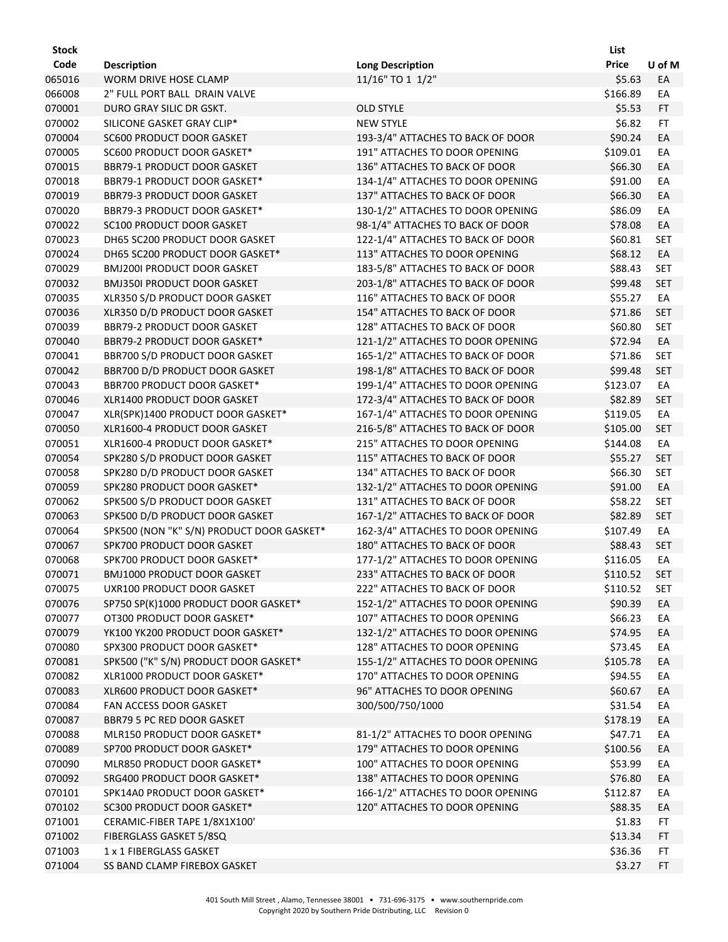| <b>Stock</b> |                                           |                                   | List         |            |
|--------------|-------------------------------------------|-----------------------------------|--------------|------------|
| Code         | <b>Description</b>                        | <b>Long Description</b>           | <b>Price</b> | U of M     |
| 065016       | <b>WORM DRIVE HOSE CLAMP</b>              | 11/16" TO 1 1/2"                  | \$5.63       | EA         |
| 066008       | 2" FULL PORT BALL DRAIN VALVE             |                                   | \$166.89     | EA         |
| 070001       | DURO GRAY SILIC DR GSKT.                  | <b>OLD STYLE</b>                  | \$5.53       | <b>FT</b>  |
| 070002       | SILICONE GASKET GRAY CLIP*                | <b>NEW STYLE</b>                  | \$6.82       | FT         |
| 070004       | SC600 PRODUCT DOOR GASKET                 | 193-3/4" ATTACHES TO BACK OF DOOR | \$90.24      | EA         |
| 070005       | SC600 PRODUCT DOOR GASKET*                | 191" ATTACHES TO DOOR OPENING     | \$109.01     | EA         |
| 070015       | <b>BBR79-1 PRODUCT DOOR GASKET</b>        | 136" ATTACHES TO BACK OF DOOR     | \$66.30      | EA         |
| 070018       | BBR79-1 PRODUCT DOOR GASKET*              | 134-1/4" ATTACHES TO DOOR OPENING | \$91.00      | EA         |
| 070019       | <b>BBR79-3 PRODUCT DOOR GASKET</b>        | 137" ATTACHES TO BACK OF DOOR     | \$66.30      | EA         |
| 070020       | BBR79-3 PRODUCT DOOR GASKET*              | 130-1/2" ATTACHES TO DOOR OPENING | \$86.09      | EA         |
| 070022       | SC100 PRODUCT DOOR GASKET                 | 98-1/4" ATTACHES TO BACK OF DOOR  | \$78.08      | EA         |
| 070023       | DH65 SC200 PRODUCT DOOR GASKET            | 122-1/4" ATTACHES TO BACK OF DOOR | \$60.81      | <b>SET</b> |
| 070024       | DH65 SC200 PRODUCT DOOR GASKET*           | 113" ATTACHES TO DOOR OPENING     | \$68.12      | EA         |
| 070029       | <b>BMJ200I PRODUCT DOOR GASKET</b>        | 183-5/8" ATTACHES TO BACK OF DOOR | \$88.43      | <b>SET</b> |
| 070032       | <b>BMJ350I PRODUCT DOOR GASKET</b>        | 203-1/8" ATTACHES TO BACK OF DOOR | \$99.48      | <b>SET</b> |
| 070035       | XLR350 S/D PRODUCT DOOR GASKET            | 116" ATTACHES TO BACK OF DOOR     | \$55.27      | EA         |
| 070036       | XLR350 D/D PRODUCT DOOR GASKET            | 154" ATTACHES TO BACK OF DOOR     | \$71.86      | <b>SET</b> |
| 070039       | BBR79-2 PRODUCT DOOR GASKET               | 128" ATTACHES TO BACK OF DOOR     | \$60.80      | <b>SET</b> |
| 070040       | BBR79-2 PRODUCT DOOR GASKET*              | 121-1/2" ATTACHES TO DOOR OPENING | \$72.94      | EA         |
| 070041       | BBR700 S/D PRODUCT DOOR GASKET            | 165-1/2" ATTACHES TO BACK OF DOOR | \$71.86      | <b>SET</b> |
| 070042       | BBR700 D/D PRODUCT DOOR GASKET            | 198-1/8" ATTACHES TO BACK OF DOOR | \$99.48      | <b>SET</b> |
| 070043       | BBR700 PRODUCT DOOR GASKET*               | 199-1/4" ATTACHES TO DOOR OPENING | \$123.07     | EA         |
| 070046       | XLR1400 PRODUCT DOOR GASKET               | 172-3/4" ATTACHES TO BACK OF DOOR | \$82.89      | <b>SET</b> |
| 070047       | XLR(SPK)1400 PRODUCT DOOR GASKET*         | 167-1/4" ATTACHES TO DOOR OPENING | \$119.05     | EA         |
| 070050       | XLR1600-4 PRODUCT DOOR GASKET             | 216-5/8" ATTACHES TO BACK OF DOOR | \$105.00     | <b>SET</b> |
| 070051       | XLR1600-4 PRODUCT DOOR GASKET*            | 215" ATTACHES TO DOOR OPENING     | \$144.08     | EA         |
| 070054       | SPK280 S/D PRODUCT DOOR GASKET            | 115" ATTACHES TO BACK OF DOOR     | \$55.27      | <b>SET</b> |
| 070058       | SPK280 D/D PRODUCT DOOR GASKET            | 134" ATTACHES TO BACK OF DOOR     | \$66.30      | <b>SET</b> |
| 070059       | SPK280 PRODUCT DOOR GASKET*               | 132-1/2" ATTACHES TO DOOR OPENING | \$91.00      | EA         |
| 070062       | SPK500 S/D PRODUCT DOOR GASKET            | 131" ATTACHES TO BACK OF DOOR     | \$58.22      | <b>SET</b> |
| 070063       | SPK500 D/D PRODUCT DOOR GASKET            | 167-1/2" ATTACHES TO BACK OF DOOR | \$82.89      | <b>SET</b> |
| 070064       | SPK500 (NON "K" S/N) PRODUCT DOOR GASKET* | 162-3/4" ATTACHES TO DOOR OPENING | \$107.49     | EA         |
| 070067       | SPK700 PRODUCT DOOR GASKET                | 180" ATTACHES TO BACK OF DOOR     | \$88.43      | <b>SET</b> |
| 070068       | SPK700 PRODUCT DOOR GASKET*               | 177-1/2" ATTACHES TO DOOR OPENING | \$116.05     | EA         |
| 070071       | <b>BMJ1000 PRODUCT DOOR GASKET</b>        | 233" ATTACHES TO BACK OF DOOR     | \$110.52     | <b>SET</b> |
| 070075       | UXR100 PRODUCT DOOR GASKET                | 222" ATTACHES TO BACK OF DOOR     | \$110.52     | <b>SET</b> |
| 070076       | SP750 SP(K)1000 PRODUCT DOOR GASKET*      | 152-1/2" ATTACHES TO DOOR OPENING | \$90.39      | EA         |
| 070077       | OT300 PRODUCT DOOR GASKET*                | 107" ATTACHES TO DOOR OPENING     | \$66.23      | EA         |
| 070079       | YK100 YK200 PRODUCT DOOR GASKET*          | 132-1/2" ATTACHES TO DOOR OPENING | \$74.95      | EA         |
| 070080       | SPX300 PRODUCT DOOR GASKET*               | 128" ATTACHES TO DOOR OPENING     | \$73.45      | EA         |
| 070081       | SPK500 ("K" S/N) PRODUCT DOOR GASKET*     | 155-1/2" ATTACHES TO DOOR OPENING | \$105.78     | EA         |
| 070082       | XLR1000 PRODUCT DOOR GASKET*              | 170" ATTACHES TO DOOR OPENING     | \$94.55      | EA         |
| 070083       | XLR600 PRODUCT DOOR GASKET*               | 96" ATTACHES TO DOOR OPENING      | \$60.67      | EA         |
| 070084       | FAN ACCESS DOOR GASKET                    | 300/500/750/1000                  | \$31.54      | EA         |
| 070087       | BBR79 5 PC RED DOOR GASKET                |                                   | \$178.19     | EA         |
| 070088       | MLR150 PRODUCT DOOR GASKET*               | 81-1/2" ATTACHES TO DOOR OPENING  | \$47.71      | EA         |
| 070089       | SP700 PRODUCT DOOR GASKET*                | 179" ATTACHES TO DOOR OPENING     | \$100.56     | EA         |
| 070090       | MLR850 PRODUCT DOOR GASKET*               | 100" ATTACHES TO DOOR OPENING     | \$53.99      | EA         |
| 070092       | SRG400 PRODUCT DOOR GASKET*               | 138" ATTACHES TO DOOR OPENING     | \$76.80      | EA         |
| 070101       | SPK14A0 PRODUCT DOOR GASKET*              | 166-1/2" ATTACHES TO DOOR OPENING | \$112.87     | EA         |
| 070102       | SC300 PRODUCT DOOR GASKET*                | 120" ATTACHES TO DOOR OPENING     | \$88.35      | EA         |
| 071001       | CERAMIC-FIBER TAPE 1/8X1X100'             |                                   | \$1.83       | <b>FT</b>  |
| 071002       | FIBERGLASS GASKET 5/8SQ                   |                                   | \$13.34      | FT.        |
| 071003       | 1 x 1 FIBERGLASS GASKET                   |                                   | \$36.36      | FT.        |
| 071004       | SS BAND CLAMP FIREBOX GASKET              |                                   | \$3.27       | FT.        |
|              |                                           |                                   |              |            |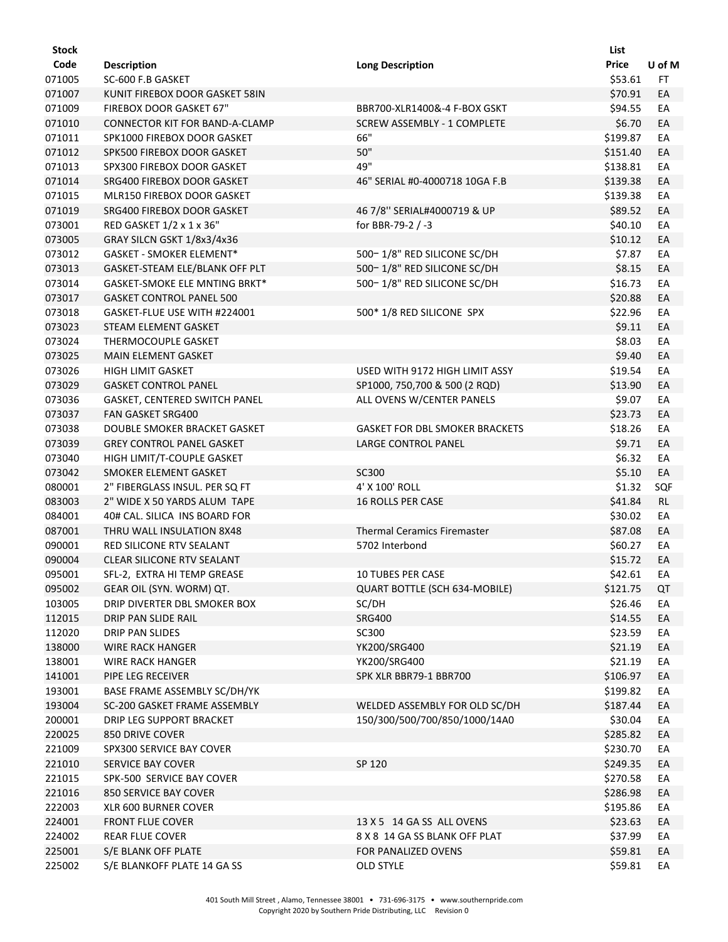| <b>Stock</b> |                                   |                                       | List     |           |
|--------------|-----------------------------------|---------------------------------------|----------|-----------|
| Code         | <b>Description</b>                | <b>Long Description</b>               | Price    | U of M    |
| 071005       | SC-600 F.B GASKET                 |                                       | \$53.61  | FT.       |
| 071007       | KUNIT FIREBOX DOOR GASKET 58IN    |                                       | \$70.91  | EA        |
| 071009       | FIREBOX DOOR GASKET 67"           | BBR700-XLR1400&-4 F-BOX GSKT          | \$94.55  | EA        |
| 071010       | CONNECTOR KIT FOR BAND-A-CLAMP    | SCREW ASSEMBLY - 1 COMPLETE           | \$6.70   | EA        |
| 071011       | SPK1000 FIREBOX DOOR GASKET       | 66"                                   | \$199.87 | EA        |
| 071012       | SPK500 FIREBOX DOOR GASKET        | 50"                                   | \$151.40 | EA        |
| 071013       | SPX300 FIREBOX DOOR GASKET        | 49"                                   | \$138.81 | EA        |
| 071014       | SRG400 FIREBOX DOOR GASKET        | 46" SERIAL #0-4000718 10GA F.B        | \$139.38 | EA        |
| 071015       | MLR150 FIREBOX DOOR GASKET        |                                       | \$139.38 | EA        |
| 071019       | SRG400 FIREBOX DOOR GASKET        | 46 7/8" SERIAL#4000719 & UP           | \$89.52  | EA        |
| 073001       | RED GASKET 1/2 x 1 x 36"          | for BBR-79-2 / -3                     | \$40.10  | EA        |
| 073005       | GRAY SILCN GSKT 1/8x3/4x36        |                                       | \$10.12  | EA        |
| 073012       | <b>GASKET - SMOKER ELEMENT*</b>   | 500-1/8" RED SILICONE SC/DH           | \$7.87   | EA        |
| 073013       | GASKET-STEAM ELE/BLANK OFF PLT    | 500-1/8" RED SILICONE SC/DH           | \$8.15   | EA        |
| 073014       | GASKET-SMOKE ELE MNTING BRKT*     | 500-1/8" RED SILICONE SC/DH           | \$16.73  | EA        |
| 073017       | <b>GASKET CONTROL PANEL 500</b>   |                                       | \$20.88  | EA        |
| 073018       | GASKET-FLUE USE WITH #224001      | 500* 1/8 RED SILICONE SPX             | \$22.96  | EA        |
| 073023       | STEAM ELEMENT GASKET              |                                       | \$9.11   | EA        |
| 073024       | THERMOCOUPLE GASKET               |                                       | \$8.03   | EA        |
| 073025       | <b>MAIN ELEMENT GASKET</b>        |                                       | \$9.40   | EA        |
| 073026       | HIGH LIMIT GASKET                 | USED WITH 9172 HIGH LIMIT ASSY        | \$19.54  | EA        |
| 073029       | <b>GASKET CONTROL PANEL</b>       | SP1000, 750,700 & 500 (2 RQD)         | \$13.90  | EA        |
| 073036       | GASKET, CENTERED SWITCH PANEL     | ALL OVENS W/CENTER PANELS             | \$9.07   | EA        |
| 073037       | <b>FAN GASKET SRG400</b>          |                                       | \$23.73  | EA        |
| 073038       | DOUBLE SMOKER BRACKET GASKET      | <b>GASKET FOR DBL SMOKER BRACKETS</b> | \$18.26  | EA        |
| 073039       | <b>GREY CONTROL PANEL GASKET</b>  | LARGE CONTROL PANEL                   | \$9.71   | EA        |
| 073040       | HIGH LIMIT/T-COUPLE GASKET        |                                       | \$6.32   | EA        |
| 073042       | SMOKER ELEMENT GASKET             | SC300                                 | \$5.10   | EA        |
| 080001       | 2" FIBERGLASS INSUL. PER SQ FT    | 4' X 100' ROLL                        | \$1.32   | SQF       |
| 083003       | 2" WIDE X 50 YARDS ALUM TAPE      | 16 ROLLS PER CASE                     | \$41.84  | <b>RL</b> |
| 084001       | 40# CAL. SILICA INS BOARD FOR     |                                       | \$30.02  | EA        |
| 087001       | THRU WALL INSULATION 8X48         | <b>Thermal Ceramics Firemaster</b>    | \$87.08  | EA        |
| 090001       | RED SILICONE RTV SEALANT          | 5702 Interbond                        | \$60.27  | EA        |
| 090004       | <b>CLEAR SILICONE RTV SEALANT</b> |                                       | \$15.72  | EA        |
| 095001       | SFL-2, EXTRA HI TEMP GREASE       | <b>10 TUBES PER CASE</b>              | \$42.61  | EA        |
| 095002       | GEAR OIL (SYN. WORM) QT.          | QUART BOTTLE (SCH 634-MOBILE)         | \$121.75 | QT        |
| 103005       | DRIP DIVERTER DBL SMOKER BOX      | SC/DH                                 | \$26.46  | EA        |
| 112015       | DRIP PAN SLIDE RAIL               | <b>SRG400</b>                         | \$14.55  | EA        |
| 112020       | <b>DRIP PAN SLIDES</b>            | SC300                                 | \$23.59  | EA        |
| 138000       | <b>WIRE RACK HANGER</b>           | YK200/SRG400                          | \$21.19  | EA        |
| 138001       | <b>WIRE RACK HANGER</b>           | YK200/SRG400                          | \$21.19  | EA        |
| 141001       | PIPE LEG RECEIVER                 | SPK XLR BBR79-1 BBR700                | \$106.97 | EA        |
| 193001       | BASE FRAME ASSEMBLY SC/DH/YK      |                                       | \$199.82 | EA        |
| 193004       | SC-200 GASKET FRAME ASSEMBLY      | WELDED ASSEMBLY FOR OLD SC/DH         | \$187.44 | EA        |
| 200001       | DRIP LEG SUPPORT BRACKET          | 150/300/500/700/850/1000/14A0         | \$30.04  | EA        |
| 220025       | <b>850 DRIVE COVER</b>            |                                       | \$285.82 | EA        |
| 221009       | SPX300 SERVICE BAY COVER          |                                       | \$230.70 | EA        |
| 221010       | <b>SERVICE BAY COVER</b>          | SP 120                                | \$249.35 | EA        |
| 221015       | SPK-500 SERVICE BAY COVER         |                                       | \$270.58 | EA        |
| 221016       | 850 SERVICE BAY COVER             |                                       | \$286.98 | EA        |
| 222003       | <b>XLR 600 BURNER COVER</b>       |                                       | \$195.86 | EA        |
| 224001       | <b>FRONT FLUE COVER</b>           | 13 X 5 14 GA SS ALL OVENS             | \$23.63  | EA        |
| 224002       | <b>REAR FLUE COVER</b>            | 8 X 8 14 GA SS BLANK OFF PLAT         | \$37.99  | EA        |
| 225001       | S/E BLANK OFF PLATE               | FOR PANALIZED OVENS                   | \$59.81  | EA        |
| 225002       | S/E BLANKOFF PLATE 14 GA SS       | <b>OLD STYLE</b>                      | \$59.81  | EA        |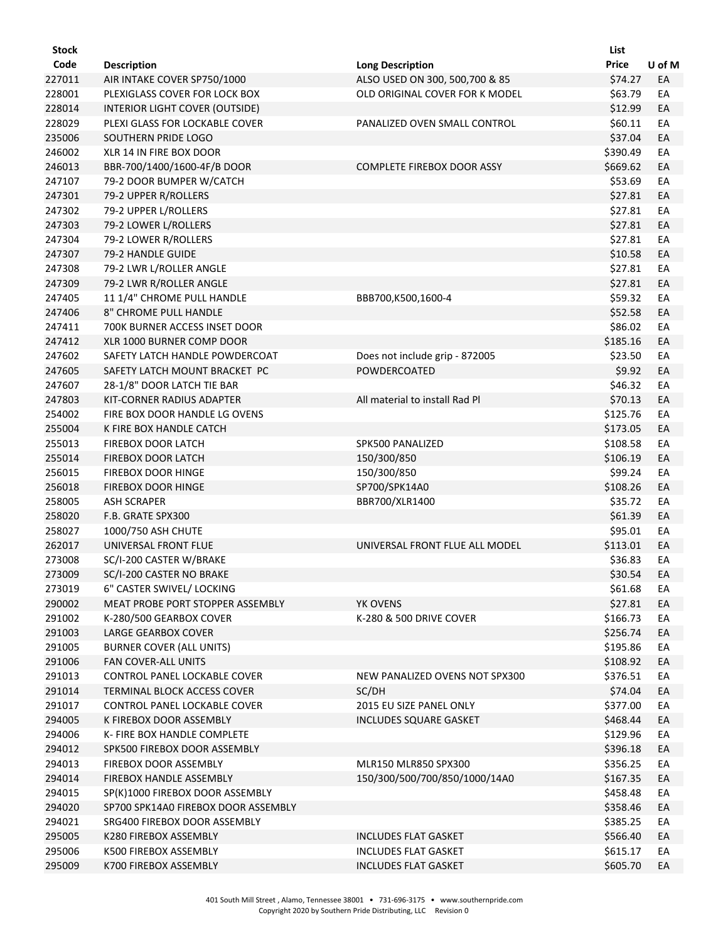| Stock  |                                     |                                                | List         |        |
|--------|-------------------------------------|------------------------------------------------|--------------|--------|
| Code   | <b>Description</b>                  | <b>Long Description</b>                        | <b>Price</b> | U of M |
| 227011 | AIR INTAKE COVER SP750/1000         | ALSO USED ON 300, 500,700 & 85                 | \$74.27      | EA     |
| 228001 | PLEXIGLASS COVER FOR LOCK BOX       | OLD ORIGINAL COVER FOR K MODEL                 | \$63.79      | EA     |
| 228014 | INTERIOR LIGHT COVER (OUTSIDE)      |                                                | \$12.99      | EA     |
| 228029 | PLEXI GLASS FOR LOCKABLE COVER      | PANALIZED OVEN SMALL CONTROL                   | \$60.11      | EA     |
| 235006 | SOUTHERN PRIDE LOGO                 |                                                | \$37.04      | EA     |
| 246002 | XLR 14 IN FIRE BOX DOOR             |                                                | \$390.49     | EA     |
| 246013 | BBR-700/1400/1600-4F/B DOOR         | <b>COMPLETE FIREBOX DOOR ASSY</b>              | \$669.62     | EA     |
| 247107 | 79-2 DOOR BUMPER W/CATCH            |                                                | \$53.69      | EA     |
| 247301 | 79-2 UPPER R/ROLLERS                |                                                | \$27.81      | EA     |
| 247302 | 79-2 UPPER L/ROLLERS                |                                                | \$27.81      | EA     |
| 247303 | 79-2 LOWER L/ROLLERS                |                                                | \$27.81      | EA     |
| 247304 | 79-2 LOWER R/ROLLERS                |                                                | \$27.81      | EA     |
| 247307 | 79-2 HANDLE GUIDE                   |                                                | \$10.58      | EA     |
| 247308 | 79-2 LWR L/ROLLER ANGLE             |                                                | \$27.81      | EA     |
| 247309 | 79-2 LWR R/ROLLER ANGLE             |                                                | \$27.81      | EA     |
| 247405 | 11 1/4" CHROME PULL HANDLE          | BBB700,K500,1600-4                             | \$59.32      | EA     |
| 247406 | 8" CHROME PULL HANDLE               |                                                | \$52.58      | EA     |
| 247411 | 700K BURNER ACCESS INSET DOOR       |                                                | \$86.02      | EA     |
| 247412 | XLR 1000 BURNER COMP DOOR           |                                                | \$185.16     | EA     |
| 247602 | SAFETY LATCH HANDLE POWDERCOAT      |                                                | \$23.50      |        |
|        | SAFETY LATCH MOUNT BRACKET PC       | Does not include grip - 872005<br>POWDERCOATED |              | EA     |
| 247605 |                                     |                                                | \$9.92       | EA     |
| 247607 | 28-1/8" DOOR LATCH TIE BAR          |                                                | \$46.32      | EA     |
| 247803 | KIT-CORNER RADIUS ADAPTER           | All material to install Rad Pl                 | \$70.13      | EA     |
| 254002 | FIRE BOX DOOR HANDLE LG OVENS       |                                                | \$125.76     | EA     |
| 255004 | K FIRE BOX HANDLE CATCH             |                                                | \$173.05     | EA     |
| 255013 | <b>FIREBOX DOOR LATCH</b>           | SPK500 PANALIZED                               | \$108.58     | EA     |
| 255014 | <b>FIREBOX DOOR LATCH</b>           | 150/300/850                                    | \$106.19     | EA     |
| 256015 | FIREBOX DOOR HINGE                  | 150/300/850                                    | \$99.24      | EA     |
| 256018 | <b>FIREBOX DOOR HINGE</b>           | SP700/SPK14A0                                  | \$108.26     | EA     |
| 258005 | <b>ASH SCRAPER</b>                  | BBR700/XLR1400                                 | \$35.72      | EA     |
| 258020 | F.B. GRATE SPX300                   |                                                | \$61.39      | EA     |
| 258027 | 1000/750 ASH CHUTE                  |                                                | \$95.01      | EA     |
| 262017 | UNIVERSAL FRONT FLUE                | UNIVERSAL FRONT FLUE ALL MODEL                 | \$113.01     | EA     |
| 273008 | SC/I-200 CASTER W/BRAKE             |                                                | \$36.83      | EA     |
| 273009 | SC/I-200 CASTER NO BRAKE            |                                                | \$30.54      | EA     |
| 273019 | 6" CASTER SWIVEL/ LOCKING           |                                                | \$61.68      | EA     |
| 290002 | MEAT PROBE PORT STOPPER ASSEMBLY    | YK OVENS                                       | \$27.81      | EA     |
| 291002 | K-280/500 GEARBOX COVER             | K-280 & 500 DRIVE COVER                        | \$166.73     | EA     |
| 291003 | <b>LARGE GEARBOX COVER</b>          |                                                | \$256.74     | EA     |
| 291005 | <b>BURNER COVER (ALL UNITS)</b>     |                                                | \$195.86     | EA     |
| 291006 | <b>FAN COVER-ALL UNITS</b>          |                                                | \$108.92     | EA     |
| 291013 | CONTROL PANEL LOCKABLE COVER        | NEW PANALIZED OVENS NOT SPX300                 | \$376.51     | EA     |
| 291014 | TERMINAL BLOCK ACCESS COVER         | SC/DH                                          | \$74.04      | EA     |
| 291017 | CONTROL PANEL LOCKABLE COVER        | 2015 EU SIZE PANEL ONLY                        | \$377.00     | EA     |
| 294005 | K FIREBOX DOOR ASSEMBLY             | <b>INCLUDES SQUARE GASKET</b>                  | \$468.44     | EA     |
| 294006 | K- FIRE BOX HANDLE COMPLETE         |                                                | \$129.96     | EA     |
| 294012 | SPK500 FIREBOX DOOR ASSEMBLY        |                                                | \$396.18     | EA     |
| 294013 | FIREBOX DOOR ASSEMBLY               | MLR150 MLR850 SPX300                           | \$356.25     | EA     |
| 294014 | FIREBOX HANDLE ASSEMBLY             | 150/300/500/700/850/1000/14A0                  | \$167.35     | EA     |
| 294015 | SP(K)1000 FIREBOX DOOR ASSEMBLY     |                                                | \$458.48     | EA     |
| 294020 | SP700 SPK14A0 FIREBOX DOOR ASSEMBLY |                                                | \$358.46     | EA     |
| 294021 | SRG400 FIREBOX DOOR ASSEMBLY        |                                                | \$385.25     | EA     |
| 295005 | K280 FIREBOX ASSEMBLY               | <b>INCLUDES FLAT GASKET</b>                    | \$566.40     | EA     |
| 295006 | K500 FIREBOX ASSEMBLY               | <b>INCLUDES FLAT GASKET</b>                    | \$615.17     | EA     |
| 295009 | K700 FIREBOX ASSEMBLY               | <b>INCLUDES FLAT GASKET</b>                    | \$605.70     | EA     |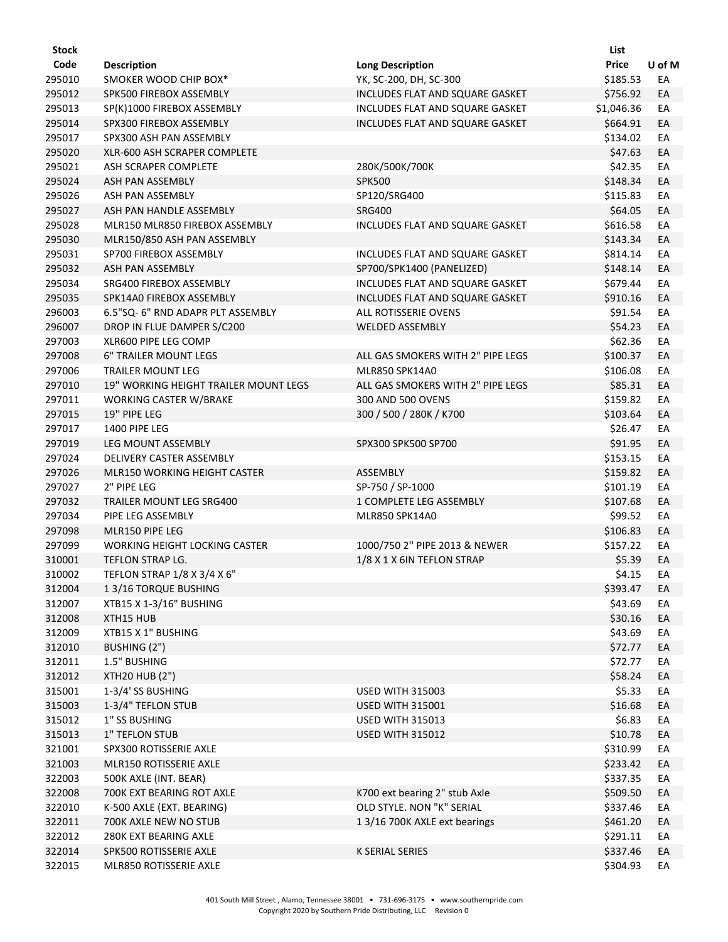| Stock            |                                                |                                        | List                 |          |
|------------------|------------------------------------------------|----------------------------------------|----------------------|----------|
| Code             | <b>Description</b>                             | <b>Long Description</b>                | <b>Price</b>         | U of M   |
| 295010           | SMOKER WOOD CHIP BOX*                          | YK, SC-200, DH, SC-300                 | \$185.53             | EA       |
| 295012           | SPK500 FIREBOX ASSEMBLY                        | INCLUDES FLAT AND SQUARE GASKET        | \$756.92             | EA       |
| 295013           | SP(K)1000 FIREBOX ASSEMBLY                     | <b>INCLUDES FLAT AND SQUARE GASKET</b> | \$1,046.36           | EA       |
| 295014           | SPX300 FIREBOX ASSEMBLY                        | INCLUDES FLAT AND SQUARE GASKET        | \$664.91             | EA       |
| 295017           | SPX300 ASH PAN ASSEMBLY                        |                                        | \$134.02             | EA       |
| 295020           | XLR-600 ASH SCRAPER COMPLETE                   |                                        | \$47.63              | EA       |
| 295021           | ASH SCRAPER COMPLETE                           | 280K/500K/700K                         | \$42.35              | EA       |
| 295024           | <b>ASH PAN ASSEMBLY</b>                        | <b>SPK500</b>                          | \$148.34             | EA       |
| 295026           | ASH PAN ASSEMBLY                               | SP120/SRG400                           | \$115.83             | EA       |
| 295027           | ASH PAN HANDLE ASSEMBLY                        | <b>SRG400</b>                          | \$64.05              | EA       |
| 295028           | MLR150 MLR850 FIREBOX ASSEMBLY                 | INCLUDES FLAT AND SQUARE GASKET        | \$616.58             | EA       |
| 295030           | MLR150/850 ASH PAN ASSEMBLY                    |                                        | \$143.34             | EA       |
| 295031           | SP700 FIREBOX ASSEMBLY                         | INCLUDES FLAT AND SQUARE GASKET        | \$814.14             | EA       |
| 295032           | ASH PAN ASSEMBLY                               | SP700/SPK1400 (PANELIZED)              | \$148.14             | EA       |
| 295034           | SRG400 FIREBOX ASSEMBLY                        | INCLUDES FLAT AND SQUARE GASKET        | \$679.44             | EA       |
| 295035           | SPK14A0 FIREBOX ASSEMBLY                       | INCLUDES FLAT AND SQUARE GASKET        | \$910.16             | EA       |
| 296003           | 6.5"SQ- 6" RND ADAPR PLT ASSEMBLY              | ALL ROTISSERIE OVENS                   | \$91.54              | EA       |
| 296007           | DROP IN FLUE DAMPER S/C200                     | <b>WELDED ASSEMBLY</b>                 | \$54.23              | EA       |
| 297003           | XLR600 PIPE LEG COMP                           |                                        | \$62.36              | EA       |
| 297008           | <b>6" TRAILER MOUNT LEGS</b>                   | ALL GAS SMOKERS WITH 2" PIPE LEGS      | \$100.37             | EA       |
| 297006           | <b>TRAILER MOUNT LEG</b>                       | MLR850 SPK14A0                         | \$106.08             | EA       |
| 297010           | 19" WORKING HEIGHT TRAILER MOUNT LEGS          | ALL GAS SMOKERS WITH 2" PIPE LEGS      | \$85.31              | EA       |
| 297011           | WORKING CASTER W/BRAKE                         | 300 AND 500 OVENS                      | \$159.82             | EA       |
| 297015           | 19" PIPE LEG                                   | 300 / 500 / 280K / K700                | \$103.64             | EA       |
| 297017           | 1400 PIPE LEG                                  |                                        | \$26.47              | EA       |
| 297019           | LEG MOUNT ASSEMBLY                             | SPX300 SPK500 SP700                    | \$91.95              | EA       |
| 297024           | DELIVERY CASTER ASSEMBLY                       |                                        | \$153.15             | EA       |
| 297026           | MLR150 WORKING HEIGHT CASTER                   | ASSEMBLY                               | \$159.82             | EA       |
| 297027           | 2" PIPE LEG                                    | SP-750 / SP-1000                       | \$101.19             | EA       |
| 297032           | TRAILER MOUNT LEG SRG400                       | 1 COMPLETE LEG ASSEMBLY                | \$107.68             | EA       |
| 297034           | PIPE LEG ASSEMBLY                              | MLR850 SPK14A0                         | \$99.52              | EA       |
| 297098           | MLR150 PIPE LEG                                |                                        | \$106.83             | EA       |
| 297099           | <b>WORKING HEIGHT LOCKING CASTER</b>           | 1000/750 2" PIPE 2013 & NEWER          | \$157.22             | EA       |
| 310001           | TEFLON STRAP LG.                               | 1/8 X 1 X 6IN TEFLON STRAP             | \$5.39               | EA       |
| 310002           | TEFLON STRAP 1/8 X 3/4 X 6"                    |                                        | \$4.15               | EA       |
| 312004           | 13/16 TORQUE BUSHING                           |                                        | \$393.47             | EA       |
| 312007           | XTB15 X 1-3/16" BUSHING                        |                                        | \$43.69              | EA       |
| 312008           | XTH15 HUB                                      |                                        | \$30.16              | EA       |
| 312009           | XTB15 X 1" BUSHING                             |                                        | \$43.69              | EA       |
| 312010           | BUSHING (2")                                   |                                        | \$72.77              | EA       |
| 312011           | 1.5" BUSHING                                   |                                        | \$72.77              | EA       |
| 312012           | <b>XTH20 HUB (2")</b>                          |                                        | \$58.24              | EA       |
| 315001           | 1-3/4' SS BUSHING                              | <b>USED WITH 315003</b>                | \$5.33               | EA       |
| 315003           | 1-3/4" TEFLON STUB                             | <b>USED WITH 315001</b>                | \$16.68              | EA       |
| 315012           | 1" SS BUSHING                                  | <b>USED WITH 315013</b>                | \$6.83               | EA       |
| 315013           | 1" TEFLON STUB                                 | <b>USED WITH 315012</b>                | \$10.78              | EA       |
| 321001           | SPX300 ROTISSERIE AXLE                         |                                        | \$310.99             | EA       |
| 321003           | MLR150 ROTISSERIE AXLE                         |                                        | \$233.42             | EA       |
| 322003           | 500K AXLE (INT. BEAR)                          |                                        | \$337.35             | EA       |
| 322008           | 700K EXT BEARING ROT AXLE                      | K700 ext bearing 2" stub Axle          | \$509.50             | EA       |
| 322010           | K-500 AXLE (EXT. BEARING)                      | OLD STYLE. NON "K" SERIAL              | \$337.46             | EA       |
| 322011<br>322012 | 700K AXLE NEW NO STUB<br>280K EXT BEARING AXLE | 1 3/16 700K AXLE ext bearings          | \$461.20<br>\$291.11 | EA<br>EA |
| 322014           | SPK500 ROTISSERIE AXLE                         | <b>K SERIAL SERIES</b>                 | \$337.46             | EA       |
| 322015           | MLR850 ROTISSERIE AXLE                         |                                        | \$304.93             | EA       |
|                  |                                                |                                        |                      |          |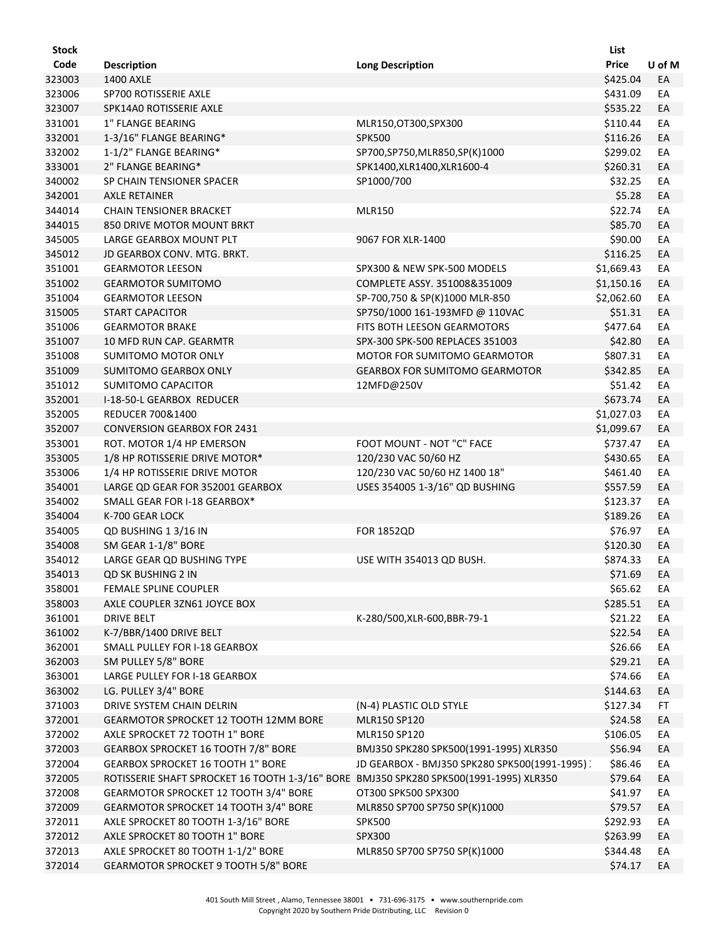| <b>Stock</b> |                                                                                        |                                                             | List         |        |
|--------------|----------------------------------------------------------------------------------------|-------------------------------------------------------------|--------------|--------|
| Code         | <b>Description</b>                                                                     | <b>Long Description</b>                                     | <b>Price</b> | U of M |
| 323003       | <b>1400 AXLE</b>                                                                       |                                                             | \$425.04     | EA     |
| 323006       | SP700 ROTISSERIE AXLE                                                                  |                                                             | \$431.09     | EA     |
| 323007       | SPK14A0 ROTISSERIE AXLE                                                                |                                                             | \$535.22     | EA     |
| 331001       | 1" FLANGE BEARING                                                                      | MLR150,OT300,SPX300                                         | \$110.44     | EA     |
| 332001       | 1-3/16" FLANGE BEARING*                                                                | <b>SPK500</b>                                               | \$116.26     | EA     |
| 332002       | 1-1/2" FLANGE BEARING*                                                                 | SP700,SP750,MLR850,SP(K)1000                                | \$299.02     | EA     |
| 333001       | 2" FLANGE BEARING*                                                                     | SPK1400,XLR1400,XLR1600-4                                   | \$260.31     | EA     |
| 340002       | SP CHAIN TENSIONER SPACER                                                              | SP1000/700                                                  | \$32.25      | EA     |
| 342001       | <b>AXLE RETAINER</b>                                                                   |                                                             | \$5.28       | EA     |
| 344014       | <b>CHAIN TENSIONER BRACKET</b>                                                         | <b>MLR150</b>                                               | \$22.74      | EA     |
| 344015       | 850 DRIVE MOTOR MOUNT BRKT                                                             |                                                             | \$85.70      | EA     |
| 345005       | LARGE GEARBOX MOUNT PLT                                                                | 9067 FOR XLR-1400                                           | \$90.00      | EA     |
| 345012       | JD GEARBOX CONV. MTG. BRKT.                                                            |                                                             | \$116.25     | EA     |
|              | <b>GEARMOTOR LEESON</b>                                                                |                                                             |              | EA     |
| 351001       |                                                                                        | SPX300 & NEW SPK-500 MODELS<br>COMPLETE ASSY, 351008&351009 | \$1,669.43   |        |
| 351002       | <b>GEARMOTOR SUMITOMO</b>                                                              |                                                             | \$1,150.16   | EA     |
| 351004       | <b>GEARMOTOR LEESON</b>                                                                | SP-700,750 & SP(K)1000 MLR-850                              | \$2,062.60   | EA     |
| 315005       | <b>START CAPACITOR</b>                                                                 | SP750/1000 161-193MFD @ 110VAC                              | \$51.31      | EA     |
| 351006       | <b>GEARMOTOR BRAKE</b>                                                                 | FITS BOTH LEESON GEARMOTORS                                 | \$477.64     | EA     |
| 351007       | 10 MFD RUN CAP. GEARMTR                                                                | SPX-300 SPK-500 REPLACES 351003                             | \$42.80      | EA     |
| 351008       | <b>SUMITOMO MOTOR ONLY</b>                                                             | MOTOR FOR SUMITOMO GEARMOTOR                                | \$807.31     | EA     |
| 351009       | SUMITOMO GEARBOX ONLY                                                                  | <b>GEARBOX FOR SUMITOMO GEARMOTOR</b>                       | \$342.85     | EA     |
| 351012       | SUMITOMO CAPACITOR                                                                     | 12MFD@250V                                                  | \$51.42      | EA     |
| 352001       | I-18-50-L GEARBOX REDUCER                                                              |                                                             | \$673.74     | EA     |
| 352005       | <b>REDUCER 700&amp;1400</b>                                                            |                                                             | \$1,027.03   | EA     |
| 352007       | <b>CONVERSION GEARBOX FOR 2431</b>                                                     |                                                             | \$1,099.67   | EA     |
| 353001       | ROT. MOTOR 1/4 HP EMERSON                                                              | FOOT MOUNT - NOT "C" FACE                                   | \$737.47     | EA     |
| 353005       | 1/8 HP ROTISSERIE DRIVE MOTOR*                                                         | 120/230 VAC 50/60 HZ                                        | \$430.65     | EA     |
| 353006       | 1/4 HP ROTISSERIE DRIVE MOTOR                                                          | 120/230 VAC 50/60 HZ 1400 18"                               | \$461.40     | EA     |
| 354001       | LARGE QD GEAR FOR 352001 GEARBOX                                                       | USES 354005 1-3/16" QD BUSHING                              | \$557.59     | EA     |
| 354002       | SMALL GEAR FOR I-18 GEARBOX*                                                           |                                                             | \$123.37     | EA     |
| 354004       | K-700 GEAR LOCK                                                                        |                                                             | \$189.26     | EA     |
| 354005       | QD BUSHING 1 3/16 IN                                                                   | <b>FOR 1852QD</b>                                           | \$76.97      | EA     |
| 354008       | SM GEAR 1-1/8" BORE                                                                    |                                                             | \$120.30     | EA     |
| 354012       | LARGE GEAR QD BUSHING TYPE                                                             | USE WITH 354013 QD BUSH.                                    | \$874.33     | EA     |
| 354013       | QD SK BUSHING 2 IN                                                                     |                                                             | \$71.69      | EA     |
| 358001       | <b>FEMALE SPLINE COUPLER</b>                                                           |                                                             | \$65.62      | EA     |
| 358003       | AXLE COUPLER 3ZN61 JOYCE BOX                                                           |                                                             | \$285.51     | EA     |
| 361001       | DRIVE BELT                                                                             | K-280/500,XLR-600,BBR-79-1                                  | \$21.22      | EA     |
| 361002       | K-7/BBR/1400 DRIVE BELT                                                                |                                                             | \$22.54      | EA     |
| 362001       | SMALL PULLEY FOR I-18 GEARBOX                                                          |                                                             | \$26.66      | EA     |
| 362003       | SM PULLEY 5/8" BORE                                                                    |                                                             | \$29.21      | EA     |
| 363001       | LARGE PULLEY FOR I-18 GEARBOX                                                          |                                                             | \$74.66      | EA     |
| 363002       | LG. PULLEY 3/4" BORE                                                                   |                                                             | \$144.63     | EA     |
| 371003       | DRIVE SYSTEM CHAIN DELRIN                                                              | (N-4) PLASTIC OLD STYLE                                     | \$127.34     | FT     |
|              |                                                                                        |                                                             | \$24.58      |        |
| 372001       | GEARMOTOR SPROCKET 12 TOOTH 12MM BORE                                                  | MLR150 SP120                                                |              | EA     |
| 372002       | AXLE SPROCKET 72 TOOTH 1" BORE                                                         | MLR150 SP120                                                | \$106.05     | EA     |
| 372003       | GEARBOX SPROCKET 16 TOOTH 7/8" BORE                                                    | BMJ350 SPK280 SPK500(1991-1995) XLR350                      | \$56.94      | EA     |
| 372004       | <b>GEARBOX SPROCKET 16 TOOTH 1" BORE</b>                                               | JD GEARBOX - BMJ350 SPK280 SPK500(1991-1995) )              | \$86.46      | EA     |
| 372005       | ROTISSERIE SHAFT SPROCKET 16 TOOTH 1-3/16" BORE BMJ350 SPK280 SPK500(1991-1995) XLR350 |                                                             | \$79.64      | EA     |
| 372008       | GEARMOTOR SPROCKET 12 TOOTH 3/4" BORE                                                  | OT300 SPK500 SPX300                                         | \$41.97      | EA     |
| 372009       | GEARMOTOR SPROCKET 14 TOOTH 3/4" BORE                                                  | MLR850 SP700 SP750 SP(K)1000                                | \$79.57      | EA     |
| 372011       | AXLE SPROCKET 80 TOOTH 1-3/16" BORE                                                    | <b>SPK500</b>                                               | \$292.93     | EA     |
| 372012       | AXLE SPROCKET 80 TOOTH 1" BORE                                                         | SPX300                                                      | \$263.99     | EA     |
| 372013       | AXLE SPROCKET 80 TOOTH 1-1/2" BORE                                                     | MLR850 SP700 SP750 SP(K)1000                                | \$344.48     | EA     |
| 372014       | GEARMOTOR SPROCKET 9 TOOTH 5/8" BORE                                                   |                                                             | \$74.17      | EA     |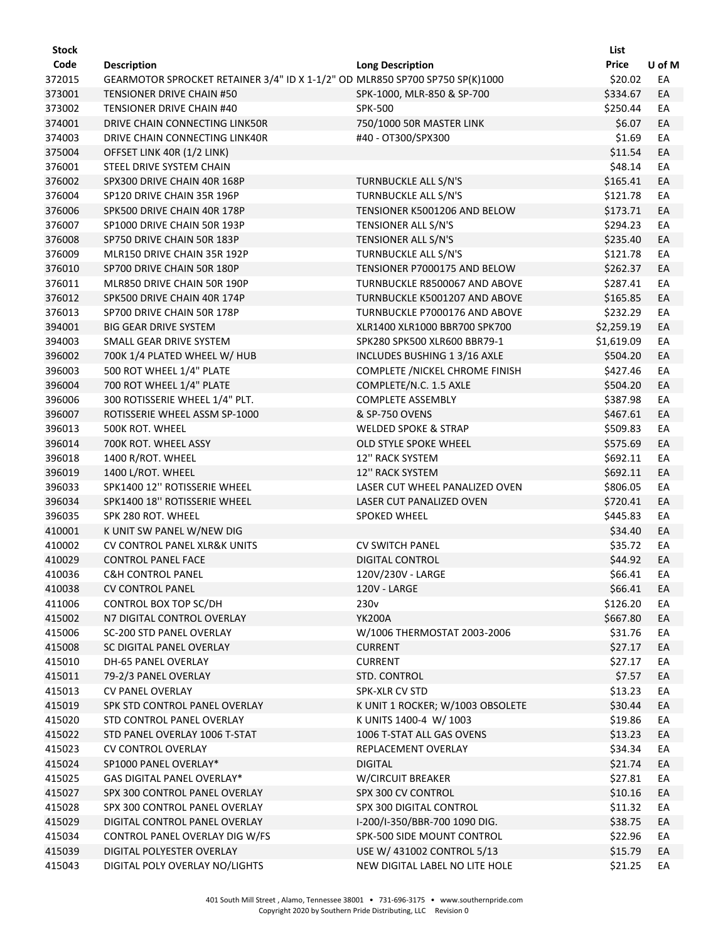| Stock            |                                                                              |                                  | List               |          |
|------------------|------------------------------------------------------------------------------|----------------------------------|--------------------|----------|
| Code             | <b>Description</b>                                                           | <b>Long Description</b>          | <b>Price</b>       | U of M   |
| 372015           | GEARMOTOR SPROCKET RETAINER 3/4" ID X 1-1/2" OD MLR850 SP700 SP750 SP(K)1000 |                                  | \$20.02            | EA       |
| 373001           | TENSIONER DRIVE CHAIN #50                                                    | SPK-1000, MLR-850 & SP-700       | \$334.67           | EA       |
| 373002           | TENSIONER DRIVE CHAIN #40                                                    | <b>SPK-500</b>                   | \$250.44           | EA       |
| 374001           | DRIVE CHAIN CONNECTING LINK50R                                               | 750/1000 50R MASTER LINK         | \$6.07             | EA       |
| 374003           | DRIVE CHAIN CONNECTING LINK40R                                               | #40 - OT300/SPX300               | \$1.69             | EA       |
| 375004           | OFFSET LINK 40R (1/2 LINK)                                                   |                                  | \$11.54            | EA       |
| 376001           | STEEL DRIVE SYSTEM CHAIN                                                     |                                  | \$48.14            | EA       |
| 376002           | SPX300 DRIVE CHAIN 40R 168P                                                  | <b>TURNBUCKLE ALL S/N'S</b>      | \$165.41           | EA       |
| 376004           | SP120 DRIVE CHAIN 35R 196P                                                   | TURNBUCKLE ALL S/N'S             | \$121.78           | EA       |
| 376006           | SPK500 DRIVE CHAIN 40R 178P                                                  | TENSIONER K5001206 AND BELOW     | \$173.71           | EA       |
| 376007           | SP1000 DRIVE CHAIN 50R 193P                                                  | TENSIONER ALL S/N'S              | \$294.23           | EA       |
| 376008           | SP750 DRIVE CHAIN 50R 183P                                                   | TENSIONER ALL S/N'S              | \$235.40           | EA       |
| 376009           | MLR150 DRIVE CHAIN 35R 192P                                                  | TURNBUCKLE ALL S/N'S             | \$121.78           | EA       |
| 376010           | SP700 DRIVE CHAIN 50R 180P                                                   | TENSIONER P7000175 AND BELOW     | \$262.37           | EA       |
| 376011           | MLR850 DRIVE CHAIN 50R 190P                                                  | TURNBUCKLE R8500067 AND ABOVE    | \$287.41           | EA       |
| 376012           | SPK500 DRIVE CHAIN 40R 174P                                                  | TURNBUCKLE K5001207 AND ABOVE    | \$165.85           | EA       |
| 376013           | SP700 DRIVE CHAIN 50R 178P                                                   | TURNBUCKLE P7000176 AND ABOVE    | \$232.29           | EA       |
| 394001           | <b>BIG GEAR DRIVE SYSTEM</b>                                                 | XLR1400 XLR1000 BBR700 SPK700    | \$2,259.19         | EA       |
| 394003           | SMALL GEAR DRIVE SYSTEM                                                      | SPK280 SPK500 XLR600 BBR79-1     | \$1,619.09         | EA       |
| 396002           | 700K 1/4 PLATED WHEEL W/ HUB                                                 | INCLUDES BUSHING 1 3/16 AXLE     | \$504.20           | EA       |
| 396003           | 500 ROT WHEEL 1/4" PLATE                                                     | COMPLETE / NICKEL CHROME FINISH  | \$427.46           | EA       |
| 396004           | 700 ROT WHEEL 1/4" PLATE                                                     | COMPLETE/N.C. 1.5 AXLE           | \$504.20           | EA       |
| 396006           | 300 ROTISSERIE WHEEL 1/4" PLT.                                               | <b>COMPLETE ASSEMBLY</b>         | \$387.98           | EA       |
| 396007           | ROTISSERIE WHEEL ASSM SP-1000                                                | & SP-750 OVENS                   | \$467.61           | EA       |
| 396013           | 500K ROT. WHEEL                                                              | <b>WELDED SPOKE &amp; STRAP</b>  | \$509.83           | EA       |
| 396014           | 700K ROT. WHEEL ASSY                                                         | OLD STYLE SPOKE WHEEL            | \$575.69           | EA       |
| 396018           | 1400 R/ROT. WHEEL                                                            | 12" RACK SYSTEM                  | \$692.11           | EA       |
| 396019           | 1400 L/ROT. WHEEL                                                            | 12" RACK SYSTEM                  | \$692.11           | EA       |
| 396033           | SPK1400 12" ROTISSERIE WHEEL                                                 | LASER CUT WHEEL PANALIZED OVEN   | \$806.05           | EA       |
| 396034           | SPK1400 18" ROTISSERIE WHEEL                                                 | LASER CUT PANALIZED OVEN         | \$720.41           | EA       |
| 396035           | SPK 280 ROT. WHEEL                                                           | SPOKED WHEEL                     | \$445.83           | EA       |
| 410001           | K UNIT SW PANEL W/NEW DIG                                                    |                                  | \$34.40            | EA       |
| 410002           | <b>CV CONTROL PANEL XLR&amp;K UNITS</b>                                      | <b>CV SWITCH PANEL</b>           | \$35.72            | EA       |
| 410029           | <b>CONTROL PANEL FACE</b>                                                    | <b>DIGITAL CONTROL</b>           | \$44.92            |          |
|                  |                                                                              | 120V/230V - LARGE                | \$66.41            | EA<br>EA |
| 410036<br>410038 | <b>C&amp;H CONTROL PANEL</b><br><b>CV CONTROL PANEL</b>                      | 120V - LARGE                     | \$66.41            |          |
| 411006           |                                                                              | 230 <sub>v</sub>                 | \$126.20           | EA       |
| 415002           | CONTROL BOX TOP SC/DH<br>N7 DIGITAL CONTROL OVERLAY                          | <b>YK200A</b>                    | \$667.80           | EA<br>EA |
| 415006           | SC-200 STD PANEL OVERLAY                                                     | W/1006 THERMOSTAT 2003-2006      | \$31.76            |          |
|                  |                                                                              |                                  |                    | EA       |
| 415008<br>415010 | SC DIGITAL PANEL OVERLAY<br>DH-65 PANEL OVERLAY                              | <b>CURRENT</b><br><b>CURRENT</b> | \$27.17<br>\$27.17 | EA<br>EA |
| 415011           | 79-2/3 PANEL OVERLAY                                                         | STD. CONTROL                     | \$7.57             | EA       |
| 415013           | <b>CV PANEL OVERLAY</b>                                                      | SPK-XLR CV STD                   | \$13.23            | EA       |
| 415019           | SPK STD CONTROL PANEL OVERLAY                                                | K UNIT 1 ROCKER; W/1003 OBSOLETE | \$30.44            | EA       |
| 415020           | STD CONTROL PANEL OVERLAY                                                    |                                  | \$19.86            |          |
|                  |                                                                              | K UNITS 1400-4 W/ 1003           |                    | EA       |
| 415022           | STD PANEL OVERLAY 1006 T-STAT                                                | 1006 T-STAT ALL GAS OVENS        | \$13.23<br>\$34.34 | EA       |
| 415023           | <b>CV CONTROL OVERLAY</b>                                                    | REPLACEMENT OVERLAY              |                    | EA       |
| 415024           | SP1000 PANEL OVERLAY*                                                        | <b>DIGITAL</b>                   | \$21.74            | EA       |
| 415025           | GAS DIGITAL PANEL OVERLAY*                                                   | <b>W/CIRCUIT BREAKER</b>         | \$27.81            | EA       |
| 415027           | SPX 300 CONTROL PANEL OVERLAY                                                | SPX 300 CV CONTROL               | \$10.16            | EA       |
| 415028           | SPX 300 CONTROL PANEL OVERLAY                                                | SPX 300 DIGITAL CONTROL          | \$11.32            | EA       |
| 415029           | DIGITAL CONTROL PANEL OVERLAY                                                | I-200/I-350/BBR-700 1090 DIG.    | \$38.75            | EA       |
| 415034           | CONTROL PANEL OVERLAY DIG W/FS                                               | SPK-500 SIDE MOUNT CONTROL       | \$22.96            | EA       |
| 415039           | DIGITAL POLYESTER OVERLAY                                                    | USE W/ 431002 CONTROL 5/13       | \$15.79            | EA       |
| 415043           | DIGITAL POLY OVERLAY NO/LIGHTS                                               | NEW DIGITAL LABEL NO LITE HOLE   | \$21.25            | EA       |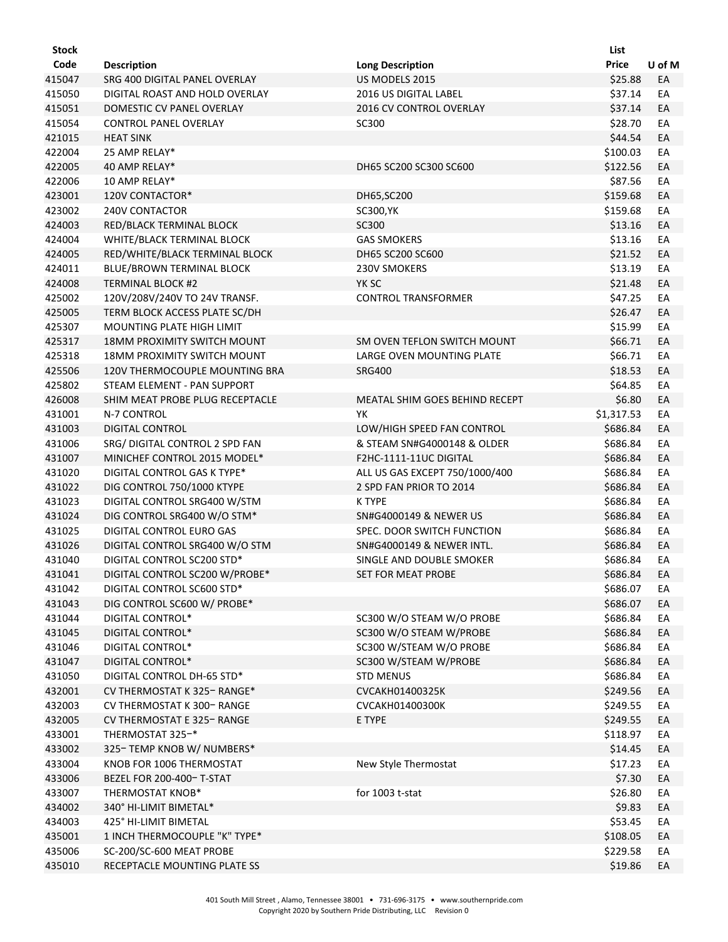| Stock  |                                    |                                | List       |        |
|--------|------------------------------------|--------------------------------|------------|--------|
| Code   | <b>Description</b>                 | <b>Long Description</b>        | Price      | U of M |
| 415047 | SRG 400 DIGITAL PANEL OVERLAY      | US MODELS 2015                 | \$25.88    | EA     |
| 415050 | DIGITAL ROAST AND HOLD OVERLAY     | 2016 US DIGITAL LABEL          | \$37.14    | EA     |
| 415051 | DOMESTIC CV PANEL OVERLAY          | 2016 CV CONTROL OVERLAY        | \$37.14    | EA     |
| 415054 | <b>CONTROL PANEL OVERLAY</b>       | SC300                          | \$28.70    | EA     |
| 421015 | <b>HEAT SINK</b>                   |                                | \$44.54    | EA     |
| 422004 | 25 AMP RELAY*                      |                                | \$100.03   | EA     |
| 422005 | 40 AMP RELAY*                      | DH65 SC200 SC300 SC600         | \$122.56   | EA     |
| 422006 | 10 AMP RELAY*                      |                                | \$87.56    | EA     |
| 423001 | 120V CONTACTOR*                    | DH65, SC200                    | \$159.68   | EA     |
| 423002 | <b>240V CONTACTOR</b>              | SC300, YK                      | \$159.68   | EA     |
| 424003 | RED/BLACK TERMINAL BLOCK           | SC300                          | \$13.16    | EA     |
| 424004 | WHITE/BLACK TERMINAL BLOCK         | <b>GAS SMOKERS</b>             | \$13.16    | EA     |
| 424005 | RED/WHITE/BLACK TERMINAL BLOCK     | DH65 SC200 SC600               | \$21.52    | EA     |
| 424011 | BLUE/BROWN TERMINAL BLOCK          | 230V SMOKERS                   | \$13.19    | EA     |
| 424008 | <b>TERMINAL BLOCK #2</b>           | YK SC                          | \$21.48    | EA     |
| 425002 | 120V/208V/240V TO 24V TRANSF.      | <b>CONTROL TRANSFORMER</b>     | \$47.25    | EA     |
| 425005 | TERM BLOCK ACCESS PLATE SC/DH      |                                | \$26.47    | EA     |
| 425307 | MOUNTING PLATE HIGH LIMIT          |                                | \$15.99    | EA     |
| 425317 | <b>18MM PROXIMITY SWITCH MOUNT</b> | SM OVEN TEFLON SWITCH MOUNT    | \$66.71    | EA     |
| 425318 | <b>18MM PROXIMITY SWITCH MOUNT</b> | LARGE OVEN MOUNTING PLATE      | \$66.71    | EA     |
| 425506 | 120V THERMOCOUPLE MOUNTING BRA     | <b>SRG400</b>                  | \$18.53    | EA     |
| 425802 | STEAM ELEMENT - PAN SUPPORT        |                                | \$64.85    | EA     |
| 426008 | SHIM MEAT PROBE PLUG RECEPTACLE    | MEATAL SHIM GOES BEHIND RECEPT | \$6.80     | EA     |
| 431001 | N-7 CONTROL                        | YΚ                             | \$1,317.53 | EA     |
| 431003 | <b>DIGITAL CONTROL</b>             | LOW/HIGH SPEED FAN CONTROL     | \$686.84   | EA     |
| 431006 | SRG/ DIGITAL CONTROL 2 SPD FAN     | & STEAM SN#G4000148 & OLDER    | \$686.84   | EA     |
| 431007 | MINICHEF CONTROL 2015 MODEL*       | F2HC-1111-11UC DIGITAL         | \$686.84   | EA     |
| 431020 | DIGITAL CONTROL GAS K TYPE*        | ALL US GAS EXCEPT 750/1000/400 | \$686.84   | EA     |
| 431022 | DIG CONTROL 750/1000 KTYPE         | 2 SPD FAN PRIOR TO 2014        | \$686.84   | EA     |
| 431023 | DIGITAL CONTROL SRG400 W/STM       | <b>K TYPE</b>                  | \$686.84   | EA     |
| 431024 | DIG CONTROL SRG400 W/O STM*        | SN#G4000149 & NEWER US         | \$686.84   | EA     |
| 431025 | DIGITAL CONTROL EURO GAS           | SPEC. DOOR SWITCH FUNCTION     | \$686.84   | EA     |
| 431026 | DIGITAL CONTROL SRG400 W/O STM     | SN#G4000149 & NEWER INTL.      | \$686.84   | EA     |
| 431040 | DIGITAL CONTROL SC200 STD*         | SINGLE AND DOUBLE SMOKER       | \$686.84   | EA     |
| 431041 | DIGITAL CONTROL SC200 W/PROBE*     | <b>SET FOR MEAT PROBE</b>      | \$686.84   | EA     |
| 431042 | DIGITAL CONTROL SC600 STD*         |                                | \$686.07   | EA     |
| 431043 | DIG CONTROL SC600 W/ PROBE*        |                                | \$686.07   | EA     |
| 431044 | DIGITAL CONTROL*                   | SC300 W/O STEAM W/O PROBE      | \$686.84   | EA     |
| 431045 | DIGITAL CONTROL*                   | SC300 W/O STEAM W/PROBE        | \$686.84   | EA     |
| 431046 | <b>DIGITAL CONTROL*</b>            | SC300 W/STEAM W/O PROBE        | \$686.84   | EA     |
| 431047 | <b>DIGITAL CONTROL*</b>            | SC300 W/STEAM W/PROBE          | \$686.84   | EA     |
| 431050 | DIGITAL CONTROL DH-65 STD*         | <b>STD MENUS</b>               | \$686.84   | EA     |
| 432001 | CV THERMOSTAT K 325-RANGE*         | CVCAKH01400325K                | \$249.56   | EA     |
| 432003 | CV THERMOSTAT K 300-RANGE          | CVCAKH01400300K                | \$249.55   | EA     |
| 432005 | CV THERMOSTAT E 325- RANGE         | E TYPE                         | \$249.55   | EA     |
| 433001 | THERMOSTAT 325-*                   |                                | \$118.97   | EA     |
| 433002 | 325-TEMP KNOB W/ NUMBERS*          |                                | \$14.45    | EA     |
| 433004 | KNOB FOR 1006 THERMOSTAT           | New Style Thermostat           | \$17.23    | EA     |
| 433006 | BEZEL FOR 200-400- T-STAT          |                                | \$7.30     | EA     |
| 433007 | THERMOSTAT KNOB*                   | for 1003 t-stat                | \$26.80    | EA     |
| 434002 | 340° HI-LIMIT BIMETAL*             |                                | \$9.83     | EA     |
| 434003 | 425° HI-LIMIT BIMETAL              |                                | \$53.45    | EA     |
| 435001 | 1 INCH THERMOCOUPLE "K" TYPE*      |                                | \$108.05   | EA     |
| 435006 | SC-200/SC-600 MEAT PROBE           |                                | \$229.58   | EA     |
| 435010 | RECEPTACLE MOUNTING PLATE SS       |                                | \$19.86    | EA     |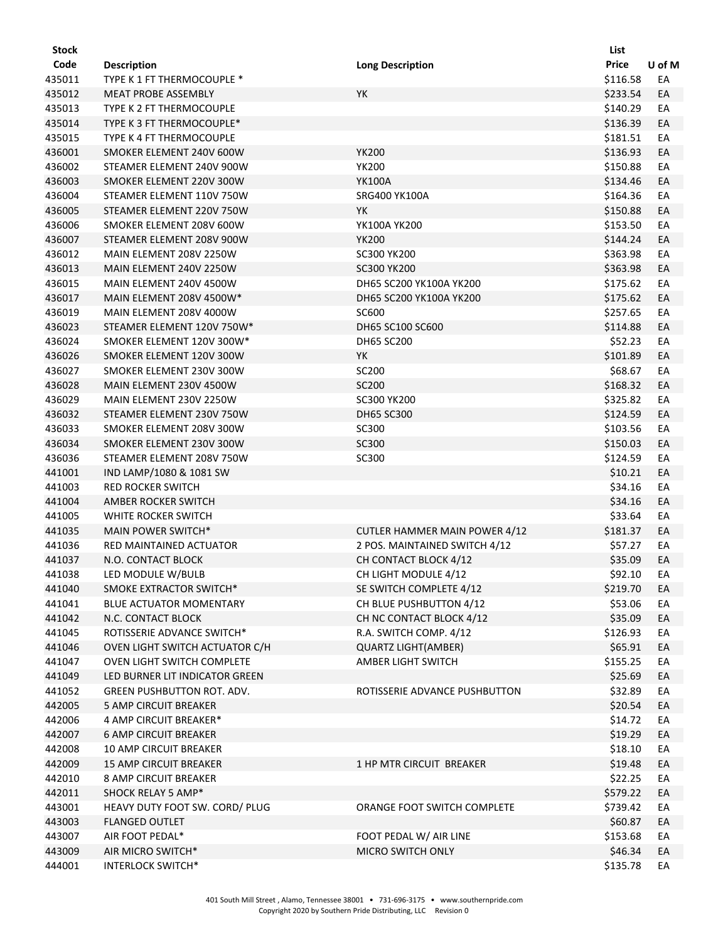| <b>Stock</b> |                                |                                      | List     |        |
|--------------|--------------------------------|--------------------------------------|----------|--------|
| Code         | <b>Description</b>             | <b>Long Description</b>              | Price    | U of M |
| 435011       | TYPE K 1 FT THERMOCOUPLE *     |                                      | \$116.58 | EA     |
| 435012       | <b>MEAT PROBE ASSEMBLY</b>     | YK                                   | \$233.54 | EA     |
| 435013       | TYPE K 2 FT THERMOCOUPLE       |                                      | \$140.29 | EA     |
| 435014       | TYPE K 3 FT THERMOCOUPLE*      |                                      | \$136.39 | EA     |
| 435015       | TYPE K 4 FT THERMOCOUPLE       |                                      | \$181.51 | EA     |
| 436001       | SMOKER ELEMENT 240V 600W       | <b>YK200</b>                         | \$136.93 | EA     |
| 436002       | STEAMER ELEMENT 240V 900W      | <b>YK200</b>                         | \$150.88 | EA     |
| 436003       | SMOKER ELEMENT 220V 300W       | <b>YK100A</b>                        | \$134.46 | EA     |
| 436004       | STEAMER ELEMENT 110V 750W      | SRG400 YK100A                        | \$164.36 | EA     |
| 436005       | STEAMER ELEMENT 220V 750W      | YK                                   | \$150.88 | EA     |
| 436006       | SMOKER ELEMENT 208V 600W       | YK100A YK200                         | \$153.50 | EA     |
| 436007       | STEAMER ELEMENT 208V 900W      | <b>YK200</b>                         | \$144.24 | EA     |
| 436012       | MAIN ELEMENT 208V 2250W        | SC300 YK200                          | \$363.98 | EA     |
| 436013       | MAIN ELEMENT 240V 2250W        | SC300 YK200                          | \$363.98 | EA     |
| 436015       | MAIN ELEMENT 240V 4500W        | DH65 SC200 YK100A YK200              | \$175.62 | EA     |
| 436017       | MAIN ELEMENT 208V 4500W*       | DH65 SC200 YK100A YK200              | \$175.62 | EA     |
| 436019       | MAIN ELEMENT 208V 4000W        | SC600                                | \$257.65 | EА     |
| 436023       | STEAMER ELEMENT 120V 750W*     | DH65 SC100 SC600                     | \$114.88 | EA     |
| 436024       | SMOKER ELEMENT 120V 300W*      | DH65 SC200                           | \$52.23  | EA     |
| 436026       | SMOKER ELEMENT 120V 300W       | YK                                   | \$101.89 | EA     |
| 436027       | SMOKER ELEMENT 230V 300W       | SC200                                | \$68.67  | EА     |
| 436028       | MAIN ELEMENT 230V 4500W        | SC200                                | \$168.32 | EA     |
| 436029       | MAIN ELEMENT 230V 2250W        | <b>SC300 YK200</b>                   | \$325.82 | EA     |
| 436032       | STEAMER ELEMENT 230V 750W      | <b>DH65 SC300</b>                    | \$124.59 | EA     |
| 436033       | SMOKER ELEMENT 208V 300W       | SC300                                | \$103.56 | EA     |
| 436034       | SMOKER ELEMENT 230V 300W       | SC300                                | \$150.03 | EA     |
| 436036       | STEAMER ELEMENT 208V 750W      | SC300                                | \$124.59 | EA     |
| 441001       | IND LAMP/1080 & 1081 SW        |                                      | \$10.21  | EA     |
| 441003       | RED ROCKER SWITCH              |                                      | \$34.16  | EA     |
| 441004       | AMBER ROCKER SWITCH            |                                      | \$34.16  | EA     |
| 441005       | WHITE ROCKER SWITCH            |                                      | \$33.64  | EA     |
| 441035       | MAIN POWER SWITCH*             | <b>CUTLER HAMMER MAIN POWER 4/12</b> | \$181.37 | EA     |
| 441036       | RED MAINTAINED ACTUATOR        | 2 POS. MAINTAINED SWITCH 4/12        | \$57.27  | EA     |
| 441037       | N.O. CONTACT BLOCK             | CH CONTACT BLOCK 4/12                | \$35.09  | EA     |
| 441038       | LED MODULE W/BULB              | CH LIGHT MODULE 4/12                 | \$92.10  | EA     |
| 441040       | SMOKE EXTRACTOR SWITCH*        | SE SWITCH COMPLETE 4/12              | \$219.70 | EA     |
| 441041       | <b>BLUE ACTUATOR MOMENTARY</b> | CH BLUE PUSHBUTTON 4/12              | \$53.06  | EA     |
| 441042       | N.C. CONTACT BLOCK             | CH NC CONTACT BLOCK 4/12             | \$35.09  | EA     |
| 441045       | ROTISSERIE ADVANCE SWITCH*     | R.A. SWITCH COMP. 4/12               | \$126.93 | EA     |
| 441046       | OVEN LIGHT SWITCH ACTUATOR C/H | <b>QUARTZ LIGHT(AMBER)</b>           | \$65.91  | EA     |
| 441047       | OVEN LIGHT SWITCH COMPLETE     | AMBER LIGHT SWITCH                   | \$155.25 | EA     |
| 441049       | LED BURNER LIT INDICATOR GREEN |                                      | \$25.69  | EA     |
| 441052       | GREEN PUSHBUTTON ROT. ADV.     | ROTISSERIE ADVANCE PUSHBUTTON        | \$32.89  | EA     |
| 442005       | <b>5 AMP CIRCUIT BREAKER</b>   |                                      | \$20.54  | EA     |
| 442006       | 4 AMP CIRCUIT BREAKER*         |                                      | \$14.72  | EA     |
| 442007       | <b>6 AMP CIRCUIT BREAKER</b>   |                                      | \$19.29  | EA     |
| 442008       | 10 AMP CIRCUIT BREAKER         |                                      | \$18.10  | EA     |
| 442009       | <b>15 AMP CIRCUIT BREAKER</b>  | 1 HP MTR CIRCUIT BREAKER             | \$19.48  | EA     |
| 442010       | 8 AMP CIRCUIT BREAKER          |                                      | \$22.25  | EA     |
| 442011       | SHOCK RELAY 5 AMP*             |                                      | \$579.22 | EA     |
| 443001       | HEAVY DUTY FOOT SW. CORD/ PLUG | ORANGE FOOT SWITCH COMPLETE          | \$739.42 | EA     |
| 443003       | <b>FLANGED OUTLET</b>          |                                      | \$60.87  | EA     |
| 443007       | AIR FOOT PEDAL*                | FOOT PEDAL W/ AIR LINE               | \$153.68 | EA     |
| 443009       | AIR MICRO SWITCH*              | MICRO SWITCH ONLY                    | \$46.34  | EA     |
| 444001       | <b>INTERLOCK SWITCH*</b>       |                                      | \$135.78 | EA     |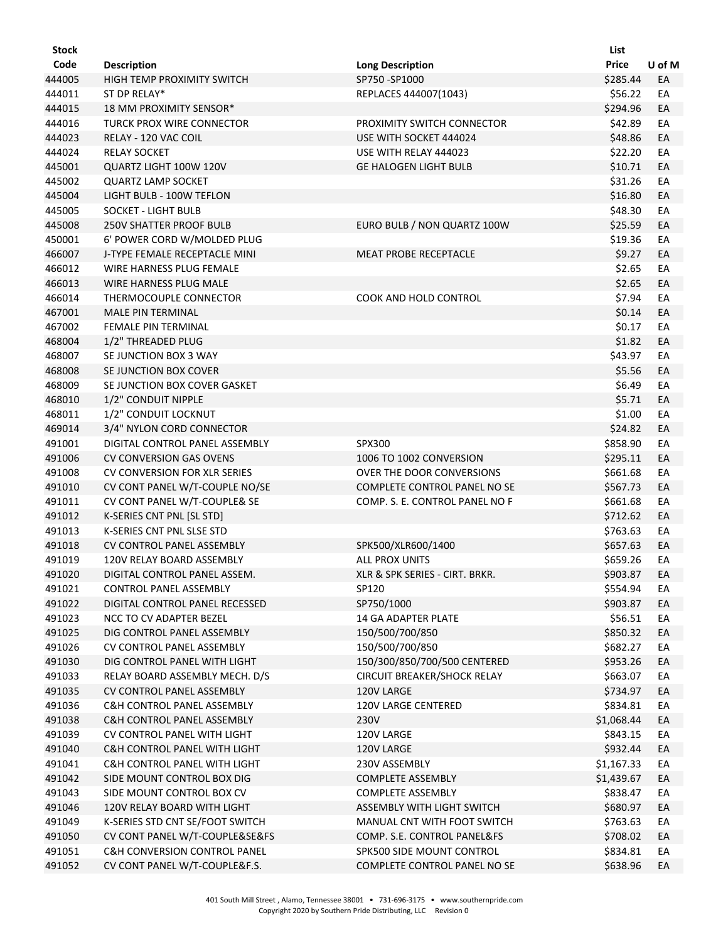| Stock  |                                         |                                | List         |        |
|--------|-----------------------------------------|--------------------------------|--------------|--------|
| Code   | <b>Description</b>                      | <b>Long Description</b>        | <b>Price</b> | U of M |
| 444005 | HIGH TEMP PROXIMITY SWITCH              | SP750-SP1000                   | \$285.44     | EA     |
| 444011 | ST DP RELAY*                            | REPLACES 444007(1043)          | \$56.22      | EA     |
| 444015 | 18 MM PROXIMITY SENSOR*                 |                                | \$294.96     | EA     |
| 444016 | <b>TURCK PROX WIRE CONNECTOR</b>        | PROXIMITY SWITCH CONNECTOR     | \$42.89      | EA     |
| 444023 | RELAY - 120 VAC COIL                    | USE WITH SOCKET 444024         | \$48.86      | EA     |
| 444024 | <b>RELAY SOCKET</b>                     | USE WITH RELAY 444023          | \$22.20      | EA     |
| 445001 | QUARTZ LIGHT 100W 120V                  | <b>GE HALOGEN LIGHT BULB</b>   | \$10.71      | EA     |
| 445002 | <b>QUARTZ LAMP SOCKET</b>               |                                | \$31.26      | EA     |
| 445004 | LIGHT BULB - 100W TEFLON                |                                | \$16.80      | EA     |
| 445005 | SOCKET - LIGHT BULB                     |                                | \$48.30      | EA     |
| 445008 | <b>250V SHATTER PROOF BULB</b>          | EURO BULB / NON QUARTZ 100W    | \$25.59      | EA     |
| 450001 | 6' POWER CORD W/MOLDED PLUG             |                                | \$19.36      | EA     |
| 466007 | J-TYPE FEMALE RECEPTACLE MINI           | MEAT PROBE RECEPTACLE          | \$9.27       | EA     |
| 466012 | WIRE HARNESS PLUG FEMALE                |                                | \$2.65       | EA     |
| 466013 | WIRE HARNESS PLUG MALE                  |                                | \$2.65       | EA     |
| 466014 | THERMOCOUPLE CONNECTOR                  | <b>COOK AND HOLD CONTROL</b>   | \$7.94       | EA     |
| 467001 | <b>MALE PIN TERMINAL</b>                |                                | \$0.14       | EA     |
| 467002 | FEMALE PIN TERMINAL                     |                                | \$0.17       | EA     |
| 468004 | 1/2" THREADED PLUG                      |                                | \$1.82       | EA     |
| 468007 | SE JUNCTION BOX 3 WAY                   |                                | \$43.97      | EA     |
| 468008 | SE JUNCTION BOX COVER                   |                                | \$5.56       | EA     |
| 468009 | SE JUNCTION BOX COVER GASKET            |                                | \$6.49       | EA     |
| 468010 | 1/2" CONDUIT NIPPLE                     |                                | \$5.71       | EA     |
| 468011 | 1/2" CONDUIT LOCKNUT                    |                                | \$1.00       | EA     |
| 469014 | 3/4" NYLON CORD CONNECTOR               |                                | \$24.82      | EA     |
| 491001 | DIGITAL CONTROL PANEL ASSEMBLY          | SPX300                         | \$858.90     | EA     |
| 491006 | <b>CV CONVERSION GAS OVENS</b>          | 1006 TO 1002 CONVERSION        | \$295.11     | EA     |
| 491008 | <b>CV CONVERSION FOR XLR SERIES</b>     | OVER THE DOOR CONVERSIONS      | \$661.68     | EA     |
| 491010 | CV CONT PANEL W/T-COUPLE NO/SE          | COMPLETE CONTROL PANEL NO SE   | \$567.73     | EA     |
| 491011 | CV CONT PANEL W/T-COUPLE& SE            | COMP. S. E. CONTROL PANEL NO F | \$661.68     | EA     |
| 491012 | K-SERIES CNT PNL [SL STD]               |                                | \$712.62     | EA     |
| 491013 | K-SERIES CNT PNL SLSE STD               |                                | \$763.63     | EA     |
| 491018 | <b>CV CONTROL PANEL ASSEMBLY</b>        | SPK500/XLR600/1400             | \$657.63     | EA     |
| 491019 | 120V RELAY BOARD ASSEMBLY               | <b>ALL PROX UNITS</b>          | \$659.26     | EА     |
| 491020 | DIGITAL CONTROL PANEL ASSEM.            | XLR & SPK SERIES - CIRT. BRKR. | \$903.87     | EA     |
| 491021 | CONTROL PANEL ASSEMBLY                  | SP120                          | \$554.94     | EA     |
| 491022 | DIGITAL CONTROL PANEL RECESSED          | SP750/1000                     | \$903.87     | EA     |
| 491023 | NCC TO CV ADAPTER BEZEL                 | 14 GA ADAPTER PLATE            | \$56.51      | EA     |
| 491025 | DIG CONTROL PANEL ASSEMBLY              | 150/500/700/850                | \$850.32     | EA     |
| 491026 | <b>CV CONTROL PANEL ASSEMBLY</b>        | 150/500/700/850                | \$682.27     | EA     |
| 491030 | DIG CONTROL PANEL WITH LIGHT            | 150/300/850/700/500 CENTERED   | \$953.26     | EA     |
| 491033 | RELAY BOARD ASSEMBLY MECH. D/S          | CIRCUIT BREAKER/SHOCK RELAY    | \$663.07     | EA     |
| 491035 | CV CONTROL PANEL ASSEMBLY               | 120V LARGE                     | \$734.97     | EA     |
| 491036 | C&H CONTROL PANEL ASSEMBLY              | 120V LARGE CENTERED            | \$834.81     | EA     |
| 491038 | <b>C&amp;H CONTROL PANEL ASSEMBLY</b>   | 230V                           | \$1,068.44   | EA     |
| 491039 | CV CONTROL PANEL WITH LIGHT             | 120V LARGE                     | \$843.15     | EA     |
| 491040 | <b>C&amp;H CONTROL PANEL WITH LIGHT</b> | 120V LARGE                     | \$932.44     | EA     |
| 491041 | <b>C&amp;H CONTROL PANEL WITH LIGHT</b> | 230V ASSEMBLY                  | \$1,167.33   | EA     |
| 491042 | SIDE MOUNT CONTROL BOX DIG              | COMPLETE ASSEMBLY              | \$1,439.67   | EA     |
| 491043 | SIDE MOUNT CONTROL BOX CV               | COMPLETE ASSEMBLY              | \$838.47     | EA     |
| 491046 | 120V RELAY BOARD WITH LIGHT             | ASSEMBLY WITH LIGHT SWITCH     | \$680.97     | EA     |
| 491049 | K-SERIES STD CNT SE/FOOT SWITCH         | MANUAL CNT WITH FOOT SWITCH    | \$763.63     | EA     |
| 491050 | CV CONT PANEL W/T-COUPLE&SE&FS          | COMP. S.E. CONTROL PANEL&FS    | \$708.02     | EA     |
| 491051 | <b>C&amp;H CONVERSION CONTROL PANEL</b> | SPK500 SIDE MOUNT CONTROL      | \$834.81     | EA     |
| 491052 | CV CONT PANEL W/T-COUPLE&F.S.           | COMPLETE CONTROL PANEL NO SE   | \$638.96     | EA     |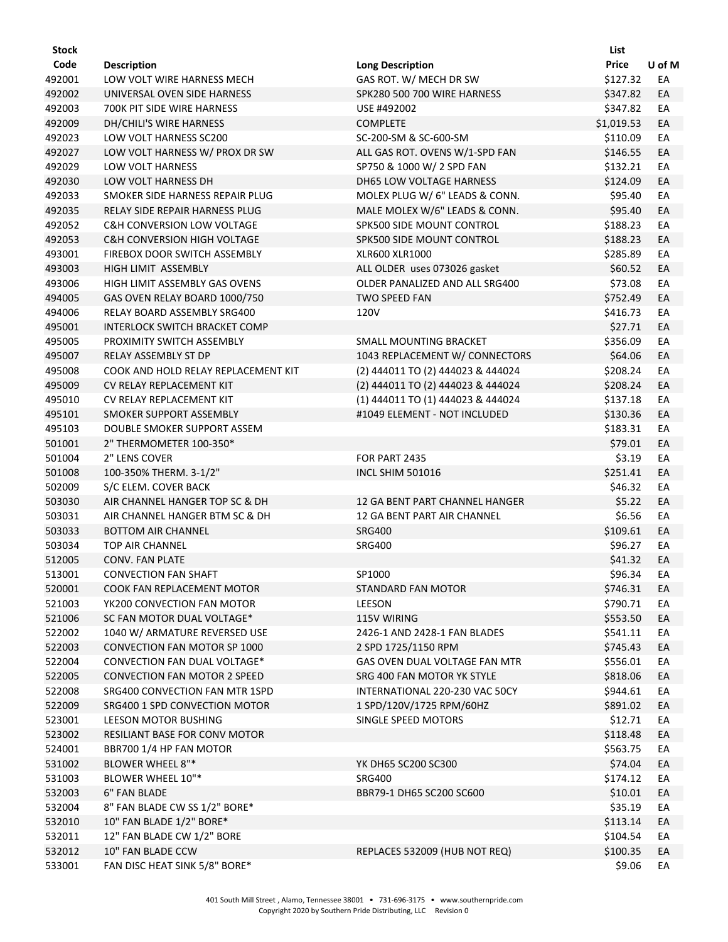| Stock  |                                        |                                   | List         |        |
|--------|----------------------------------------|-----------------------------------|--------------|--------|
| Code   | <b>Description</b>                     | <b>Long Description</b>           | <b>Price</b> | U of M |
| 492001 | LOW VOLT WIRE HARNESS MECH             | GAS ROT. W/ MECH DR SW            | \$127.32     | EA     |
| 492002 | UNIVERSAL OVEN SIDE HARNESS            | SPK280 500 700 WIRE HARNESS       | \$347.82     | EA     |
| 492003 | 700K PIT SIDE WIRE HARNESS             | USE #492002                       | \$347.82     | EA     |
| 492009 | DH/CHILI'S WIRE HARNESS                | <b>COMPLETE</b>                   | \$1,019.53   | EA     |
| 492023 | LOW VOLT HARNESS SC200                 | SC-200-SM & SC-600-SM             | \$110.09     | EA     |
| 492027 | LOW VOLT HARNESS W/ PROX DR SW         | ALL GAS ROT. OVENS W/1-SPD FAN    | \$146.55     | EA     |
| 492029 | LOW VOLT HARNESS                       | SP750 & 1000 W/ 2 SPD FAN         | \$132.21     | EA     |
| 492030 | LOW VOLT HARNESS DH                    | DH65 LOW VOLTAGE HARNESS          | \$124.09     | EA     |
| 492033 | SMOKER SIDE HARNESS REPAIR PLUG        | MOLEX PLUG W/ 6" LEADS & CONN.    | \$95.40      | EA     |
| 492035 | <b>RELAY SIDE REPAIR HARNESS PLUG</b>  | MALE MOLEX W/6" LEADS & CONN.     | \$95.40      | EA     |
| 492052 | <b>C&amp;H CONVERSION LOW VOLTAGE</b>  | SPK500 SIDE MOUNT CONTROL         | \$188.23     | EA     |
| 492053 | <b>C&amp;H CONVERSION HIGH VOLTAGE</b> | SPK500 SIDE MOUNT CONTROL         | \$188.23     | EA     |
| 493001 | FIREBOX DOOR SWITCH ASSEMBLY           | XLR600 XLR1000                    | \$285.89     | EA     |
| 493003 | HIGH LIMIT ASSEMBLY                    | ALL OLDER uses 073026 gasket      | \$60.52      | EA     |
| 493006 | HIGH LIMIT ASSEMBLY GAS OVENS          | OLDER PANALIZED AND ALL SRG400    | \$73.08      | EA     |
| 494005 | GAS OVEN RELAY BOARD 1000/750          | <b>TWO SPEED FAN</b>              | \$752.49     | EA     |
| 494006 | RELAY BOARD ASSEMBLY SRG400            | 120V                              | \$416.73     | EA     |
| 495001 | <b>INTERLOCK SWITCH BRACKET COMP</b>   |                                   | \$27.71      | EA     |
| 495005 | PROXIMITY SWITCH ASSEMBLY              | SMALL MOUNTING BRACKET            | \$356.09     | EA     |
| 495007 | RELAY ASSEMBLY ST DP                   | 1043 REPLACEMENT W/ CONNECTORS    | \$64.06      | EA     |
| 495008 | COOK AND HOLD RELAY REPLACEMENT KIT    | (2) 444011 TO (2) 444023 & 444024 | \$208.24     | EA     |
| 495009 | CV RELAY REPLACEMENT KIT               | (2) 444011 TO (2) 444023 & 444024 | \$208.24     | EA     |
| 495010 | CV RELAY REPLACEMENT KIT               | (1) 444011 TO (1) 444023 & 444024 | \$137.18     | EA     |
| 495101 | SMOKER SUPPORT ASSEMBLY                | #1049 ELEMENT - NOT INCLUDED      | \$130.36     | EA     |
| 495103 | DOUBLE SMOKER SUPPORT ASSEM            |                                   | \$183.31     | EA     |
| 501001 | 2" THERMOMETER 100-350*                |                                   | \$79.01      | EA     |
| 501004 | 2" LENS COVER                          | FOR PART 2435                     | \$3.19       | EA     |
| 501008 | 100-350% THERM. 3-1/2"                 | <b>INCL SHIM 501016</b>           | \$251.41     | EA     |
| 502009 | S/C ELEM. COVER BACK                   |                                   | \$46.32      | EA     |
| 503030 | AIR CHANNEL HANGER TOP SC & DH         | 12 GA BENT PART CHANNEL HANGER    | \$5.22       | EA     |
| 503031 | AIR CHANNEL HANGER BTM SC & DH         | 12 GA BENT PART AIR CHANNEL       | \$6.56       | EA     |
| 503033 | <b>BOTTOM AIR CHANNEL</b>              | <b>SRG400</b>                     | \$109.61     | EA     |
| 503034 | TOP AIR CHANNEL                        | <b>SRG400</b>                     | \$96.27      | EA     |
| 512005 | <b>CONV. FAN PLATE</b>                 |                                   | \$41.32      | EA     |
| 513001 | <b>CONVECTION FAN SHAFT</b>            | SP1000                            | \$96.34      | EA     |
| 520001 | COOK FAN REPLACEMENT MOTOR             | STANDARD FAN MOTOR                | \$746.31     | EA     |
| 521003 | YK200 CONVECTION FAN MOTOR             | LEESON                            | \$790.71     | EA     |
| 521006 | SC FAN MOTOR DUAL VOLTAGE*             | 115V WIRING                       | \$553.50     | EA     |
| 522002 | 1040 W/ ARMATURE REVERSED USE          | 2426-1 AND 2428-1 FAN BLADES      | \$541.11     | EA     |
| 522003 | CONVECTION FAN MOTOR SP 1000           | 2 SPD 1725/1150 RPM               | \$745.43     | EA     |
| 522004 | CONVECTION FAN DUAL VOLTAGE*           | GAS OVEN DUAL VOLTAGE FAN MTR     | \$556.01     | EA     |
| 522005 | <b>CONVECTION FAN MOTOR 2 SPEED</b>    | SRG 400 FAN MOTOR YK STYLE        | \$818.06     | EA     |
| 522008 | SRG400 CONVECTION FAN MTR 1SPD         | INTERNATIONAL 220-230 VAC 50CY    | \$944.61     | EA     |
| 522009 | SRG400 1 SPD CONVECTION MOTOR          | 1 SPD/120V/1725 RPM/60HZ          | \$891.02     | EA     |
| 523001 | LEESON MOTOR BUSHING                   | SINGLE SPEED MOTORS               | \$12.71      | EA     |
| 523002 | RESILIANT BASE FOR CONV MOTOR          |                                   | \$118.48     | EA     |
| 524001 | BBR700 1/4 HP FAN MOTOR                |                                   | \$563.75     | EA     |
| 531002 | <b>BLOWER WHEEL 8"*</b>                | YK DH65 SC200 SC300               | \$74.04      | EA     |
| 531003 | BLOWER WHEEL 10"*                      | <b>SRG400</b>                     | \$174.12     | EA     |
| 532003 | 6" FAN BLADE                           | BBR79-1 DH65 SC200 SC600          | \$10.01      | EA     |
| 532004 | 8" FAN BLADE CW SS 1/2" BORE*          |                                   | \$35.19      | EA     |
| 532010 | 10" FAN BLADE 1/2" BORE*               |                                   | \$113.14     | EA     |
| 532011 | 12" FAN BLADE CW 1/2" BORE             |                                   | \$104.54     | EA     |
| 532012 | 10" FAN BLADE CCW                      | REPLACES 532009 (HUB NOT REQ)     | \$100.35     | EA     |
| 533001 | FAN DISC HEAT SINK 5/8" BORE*          |                                   | \$9.06       | EA     |
|        |                                        |                                   |              |        |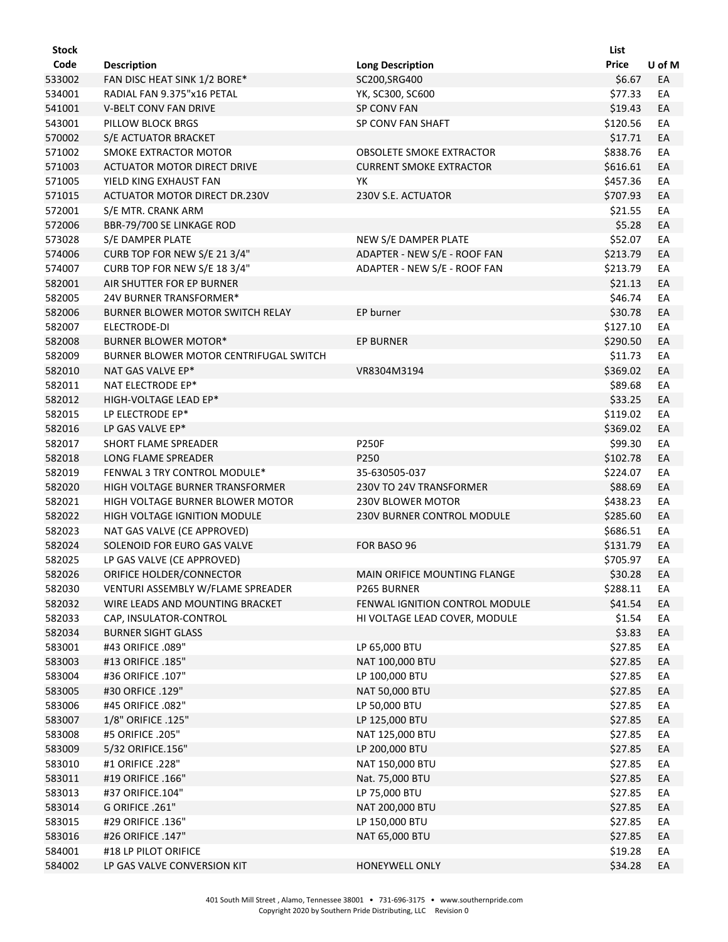| <b>Stock</b> |                                        |                                   | List     |        |
|--------------|----------------------------------------|-----------------------------------|----------|--------|
| Code         | <b>Description</b>                     | <b>Long Description</b>           | Price    | U of M |
| 533002       | FAN DISC HEAT SINK 1/2 BORE*           | SC200, SRG400                     | \$6.67   | EA     |
| 534001       | RADIAL FAN 9.375"x16 PETAL             | YK, SC300, SC600                  | \$77.33  | EA     |
| 541001       | <b>V-BELT CONV FAN DRIVE</b>           | <b>SP CONV FAN</b>                | \$19.43  | EA     |
| 543001       | PILLOW BLOCK BRGS                      | SP CONV FAN SHAFT                 | \$120.56 | EA     |
| 570002       | S/E ACTUATOR BRACKET                   |                                   | \$17.71  | EA     |
| 571002       | SMOKE EXTRACTOR MOTOR                  | <b>OBSOLETE SMOKE EXTRACTOR</b>   | \$838.76 | EA     |
| 571003       | <b>ACTUATOR MOTOR DIRECT DRIVE</b>     | <b>CURRENT SMOKE EXTRACTOR</b>    | \$616.61 | EA     |
| 571005       | YIELD KING EXHAUST FAN                 | YK                                | \$457.36 | EA     |
| 571015       | ACTUATOR MOTOR DIRECT DR.230V          | 230V S.E. ACTUATOR                | \$707.93 | EA     |
| 572001       | S/E MTR. CRANK ARM                     |                                   | \$21.55  | EA     |
| 572006       | BBR-79/700 SE LINKAGE ROD              |                                   | \$5.28   | EA     |
| 573028       | S/E DAMPER PLATE                       | NEW S/E DAMPER PLATE              | \$52.07  | EA     |
| 574006       | CURB TOP FOR NEW S/E 21 3/4"           | ADAPTER - NEW S/E - ROOF FAN      | \$213.79 | EA     |
| 574007       | CURB TOP FOR NEW S/E 18 3/4"           | ADAPTER - NEW S/E - ROOF FAN      | \$213.79 | EA     |
| 582001       | AIR SHUTTER FOR EP BURNER              |                                   | \$21.13  | EA     |
| 582005       | 24V BURNER TRANSFORMER*                |                                   | \$46.74  | EA     |
| 582006       | BURNER BLOWER MOTOR SWITCH RELAY       | EP burner                         | \$30.78  | EA     |
| 582007       | ELECTRODE-DI                           |                                   | \$127.10 | EA     |
| 582008       | <b>BURNER BLOWER MOTOR*</b>            | EP BURNER                         | \$290.50 | EA     |
| 582009       | BURNER BLOWER MOTOR CENTRIFUGAL SWITCH |                                   | \$11.73  | EA     |
| 582010       | NAT GAS VALVE EP*                      | VR8304M3194                       | \$369.02 | EA     |
| 582011       | NAT ELECTRODE EP*                      |                                   | \$89.68  | EA     |
| 582012       | HIGH-VOLTAGE LEAD EP*                  |                                   | \$33.25  | EA     |
| 582015       | LP ELECTRODE EP*                       |                                   | \$119.02 | EA     |
| 582016       | LP GAS VALVE EP*                       |                                   | \$369.02 | EA     |
| 582017       | SHORT FLAME SPREADER                   | <b>P250F</b>                      | \$99.30  | EA     |
| 582018       | LONG FLAME SPREADER                    | P250                              | \$102.78 | EA     |
| 582019       | FENWAL 3 TRY CONTROL MODULE*           | 35-630505-037                     | \$224.07 | EA     |
| 582020       | HIGH VOLTAGE BURNER TRANSFORMER        | 230V TO 24V TRANSFORMER           | \$88.69  | EA     |
| 582021       | HIGH VOLTAGE BURNER BLOWER MOTOR       | 230V BLOWER MOTOR                 | \$438.23 | EA     |
| 582022       | HIGH VOLTAGE IGNITION MODULE           | <b>230V BURNER CONTROL MODULE</b> | \$285.60 | EA     |
| 582023       | NAT GAS VALVE (CE APPROVED)            |                                   | \$686.51 | EA     |
| 582024       | SOLENOID FOR EURO GAS VALVE            | FOR BASO 96                       | \$131.79 | EA     |
| 582025       | LP GAS VALVE (CE APPROVED)             |                                   | \$705.97 | EA     |
| 582026       | ORIFICE HOLDER/CONNECTOR               | MAIN ORIFICE MOUNTING FLANGE      | \$30.28  | EA     |
| 582030       | VENTURI ASSEMBLY W/FLAME SPREADER      | P265 BURNER                       | \$288.11 | EA     |
| 582032       | WIRE LEADS AND MOUNTING BRACKET        | FENWAL IGNITION CONTROL MODULE    | \$41.54  | EA     |
| 582033       | CAP, INSULATOR-CONTROL                 | HI VOLTAGE LEAD COVER, MODULE     | \$1.54   | EA     |
| 582034       | <b>BURNER SIGHT GLASS</b>              |                                   | \$3.83   | EA     |
| 583001       | #43 ORIFICE .089"                      | LP 65,000 BTU                     | \$27.85  | EA     |
| 583003       | #13 ORIFICE .185"                      | NAT 100,000 BTU                   | \$27.85  | EA     |
| 583004       | #36 ORIFICE .107"                      | LP 100,000 BTU                    | \$27.85  | EA     |
| 583005       | #30 ORFICE .129"                       | NAT 50,000 BTU                    | \$27.85  | EA     |
| 583006       | #45 ORIFICE .082"                      | LP 50,000 BTU                     | \$27.85  | EA     |
| 583007       | 1/8" ORIFICE .125"                     | LP 125,000 BTU                    | \$27.85  | EA     |
| 583008       | #5 ORIFICE .205"                       | NAT 125,000 BTU                   | \$27.85  | EA     |
| 583009       | 5/32 ORIFICE.156"                      | LP 200,000 BTU                    | \$27.85  | EA     |
| 583010       | #1 ORIFICE .228"                       | NAT 150,000 BTU                   | \$27.85  | EA     |
| 583011       | #19 ORIFICE .166"                      | Nat. 75,000 BTU                   | \$27.85  | EA     |
| 583013       | #37 ORIFICE.104"                       | LP 75,000 BTU                     | \$27.85  | EA     |
| 583014       | G ORIFICE .261"                        | NAT 200,000 BTU                   | \$27.85  | EA     |
| 583015       | #29 ORIFICE .136"                      | LP 150,000 BTU                    | \$27.85  | EA     |
| 583016       | #26 ORIFICE .147"                      | NAT 65,000 BTU                    | \$27.85  | EA     |
| 584001       | #18 LP PILOT ORIFICE                   |                                   | \$19.28  | EA     |
| 584002       | LP GAS VALVE CONVERSION KIT            | HONEYWELL ONLY                    | \$34.28  | EA     |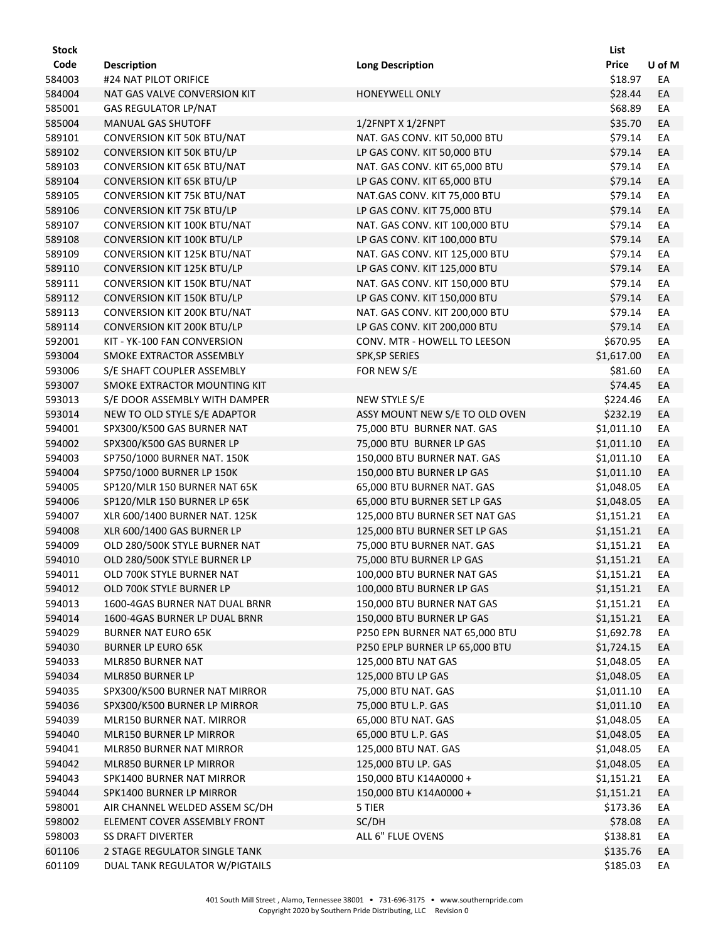| <b>Stock</b> |                                   |                                | List         |        |
|--------------|-----------------------------------|--------------------------------|--------------|--------|
| Code         | <b>Description</b>                | <b>Long Description</b>        | <b>Price</b> | U of M |
| 584003       | #24 NAT PILOT ORIFICE             |                                | \$18.97      | EA     |
| 584004       | NAT GAS VALVE CONVERSION KIT      | HONEYWELL ONLY                 | \$28.44      | EA     |
| 585001       | <b>GAS REGULATOR LP/NAT</b>       |                                | \$68.89      | EA     |
| 585004       | MANUAL GAS SHUTOFF                | 1/2FNPT X 1/2FNPT              | \$35.70      | EA     |
| 589101       | CONVERSION KIT 50K BTU/NAT        | NAT. GAS CONV. KIT 50,000 BTU  | \$79.14      | EA     |
| 589102       | CONVERSION KIT 50K BTU/LP         | LP GAS CONV. KIT 50,000 BTU    | \$79.14      | EA     |
| 589103       | <b>CONVERSION KIT 65K BTU/NAT</b> | NAT. GAS CONV. KIT 65,000 BTU  | \$79.14      | EA     |
| 589104       | <b>CONVERSION KIT 65K BTU/LP</b>  | LP GAS CONV. KIT 65,000 BTU    | \$79.14      | EA     |
| 589105       | CONVERSION KIT 75K BTU/NAT        | NAT.GAS CONV. KIT 75,000 BTU   | \$79.14      | EA     |
| 589106       | <b>CONVERSION KIT 75K BTU/LP</b>  | LP GAS CONV. KIT 75,000 BTU    | \$79.14      | EA     |
| 589107       | CONVERSION KIT 100K BTU/NAT       | NAT. GAS CONV. KIT 100,000 BTU | \$79.14      | EA     |
| 589108       | CONVERSION KIT 100K BTU/LP        | LP GAS CONV. KIT 100,000 BTU   | \$79.14      | EA     |
| 589109       | CONVERSION KIT 125K BTU/NAT       | NAT. GAS CONV. KIT 125,000 BTU | \$79.14      | EA     |
| 589110       | CONVERSION KIT 125K BTU/LP        | LP GAS CONV. KIT 125,000 BTU   | \$79.14      | EA     |
| 589111       | CONVERSION KIT 150K BTU/NAT       | NAT. GAS CONV. KIT 150,000 BTU | \$79.14      | EA     |
| 589112       | <b>CONVERSION KIT 150K BTU/LP</b> | LP GAS CONV. KIT 150,000 BTU   | \$79.14      | EA     |
| 589113       | CONVERSION KIT 200K BTU/NAT       | NAT. GAS CONV. KIT 200,000 BTU | \$79.14      | EA     |
| 589114       | CONVERSION KIT 200K BTU/LP        | LP GAS CONV. KIT 200,000 BTU   | \$79.14      | EA     |
| 592001       | KIT - YK-100 FAN CONVERSION       | CONV. MTR - HOWELL TO LEESON   | \$670.95     | EA     |
| 593004       | SMOKE EXTRACTOR ASSEMBLY          | <b>SPK, SP SERIES</b>          | \$1,617.00   | EA     |
| 593006       | S/E SHAFT COUPLER ASSEMBLY        | FOR NEW S/E                    | \$81.60      | EA     |
| 593007       | SMOKE EXTRACTOR MOUNTING KIT      |                                | \$74.45      | EA     |
| 593013       | S/E DOOR ASSEMBLY WITH DAMPER     | NEW STYLE S/E                  | \$224.46     | EA     |
| 593014       | NEW TO OLD STYLE S/E ADAPTOR      | ASSY MOUNT NEW S/E TO OLD OVEN | \$232.19     | EA     |
| 594001       | SPX300/K500 GAS BURNER NAT        | 75,000 BTU BURNER NAT. GAS     | \$1,011.10   | EA     |
| 594002       | SPX300/K500 GAS BURNER LP         | 75,000 BTU BURNER LP GAS       | \$1,011.10   | EA     |
| 594003       | SP750/1000 BURNER NAT. 150K       | 150,000 BTU BURNER NAT. GAS    | \$1,011.10   | EA     |
| 594004       | SP750/1000 BURNER LP 150K         | 150,000 BTU BURNER LP GAS      | \$1,011.10   | EA     |
| 594005       | SP120/MLR 150 BURNER NAT 65K      | 65,000 BTU BURNER NAT. GAS     | \$1,048.05   | EA     |
| 594006       | SP120/MLR 150 BURNER LP 65K       | 65,000 BTU BURNER SET LP GAS   | \$1,048.05   | EA     |
| 594007       | XLR 600/1400 BURNER NAT. 125K     | 125,000 BTU BURNER SET NAT GAS | \$1,151.21   | EA     |
| 594008       | XLR 600/1400 GAS BURNER LP        | 125,000 BTU BURNER SET LP GAS  | \$1,151.21   | EA     |
| 594009       | OLD 280/500K STYLE BURNER NAT     | 75,000 BTU BURNER NAT. GAS     | \$1,151.21   | EA     |
| 594010       | OLD 280/500K STYLE BURNER LP      | 75,000 BTU BURNER LP GAS       | \$1,151.21   | EA     |
| 594011       | OLD 700K STYLE BURNER NAT         | 100,000 BTU BURNER NAT GAS     | \$1,151.21   | EА     |
| 594012       | OLD 700K STYLE BURNER LP          | 100,000 BTU BURNER LP GAS      | \$1,151.21   | EA     |
| 594013       | 1600-4GAS BURNER NAT DUAL BRNR    | 150,000 BTU BURNER NAT GAS     | \$1,151.21   | EA     |
| 594014       | 1600-4GAS BURNER LP DUAL BRNR     | 150,000 BTU BURNER LP GAS      | \$1,151.21   | EA     |
| 594029       | <b>BURNER NAT EURO 65K</b>        | P250 EPN BURNER NAT 65,000 BTU | \$1,692.78   | EA     |
| 594030       | <b>BURNER LP EURO 65K</b>         | P250 EPLP BURNER LP 65,000 BTU | \$1,724.15   | EA     |
| 594033       | MLR850 BURNER NAT                 | 125,000 BTU NAT GAS            | \$1,048.05   | EA     |
| 594034       | MLR850 BURNER LP                  | 125,000 BTU LP GAS             | \$1,048.05   | EA     |
| 594035       | SPX300/K500 BURNER NAT MIRROR     | 75,000 BTU NAT. GAS            | \$1,011.10   | EA     |
| 594036       | SPX300/K500 BURNER LP MIRROR      | 75,000 BTU L.P. GAS            | \$1,011.10   | EA     |
| 594039       | <b>MLR150 BURNER NAT. MIRROR</b>  | 65,000 BTU NAT. GAS            | \$1,048.05   | EA     |
| 594040       | MLR150 BURNER LP MIRROR           | 65,000 BTU L.P. GAS            | \$1,048.05   | EA     |
| 594041       | MLR850 BURNER NAT MIRROR          | 125,000 BTU NAT. GAS           | \$1,048.05   | EA     |
| 594042       | MLR850 BURNER LP MIRROR           | 125,000 BTU LP. GAS            | \$1,048.05   | EA     |
| 594043       | SPK1400 BURNER NAT MIRROR         | 150,000 BTU K14A0000 +         | \$1,151.21   | EA     |
| 594044       | SPK1400 BURNER LP MIRROR          | 150,000 BTU K14A0000 +         | \$1,151.21   | EA     |
| 598001       | AIR CHANNEL WELDED ASSEM SC/DH    | 5 TIER                         | \$173.36     | EA     |
| 598002       | ELEMENT COVER ASSEMBLY FRONT      | SC/DH                          | \$78.08      | EA     |
| 598003       | <b>SS DRAFT DIVERTER</b>          | ALL 6" FLUE OVENS              | \$138.81     | EA     |
| 601106       | 2 STAGE REGULATOR SINGLE TANK     |                                | \$135.76     | EA     |
| 601109       | DUAL TANK REGULATOR W/PIGTAILS    |                                | \$185.03     | EA     |
|              |                                   |                                |              |        |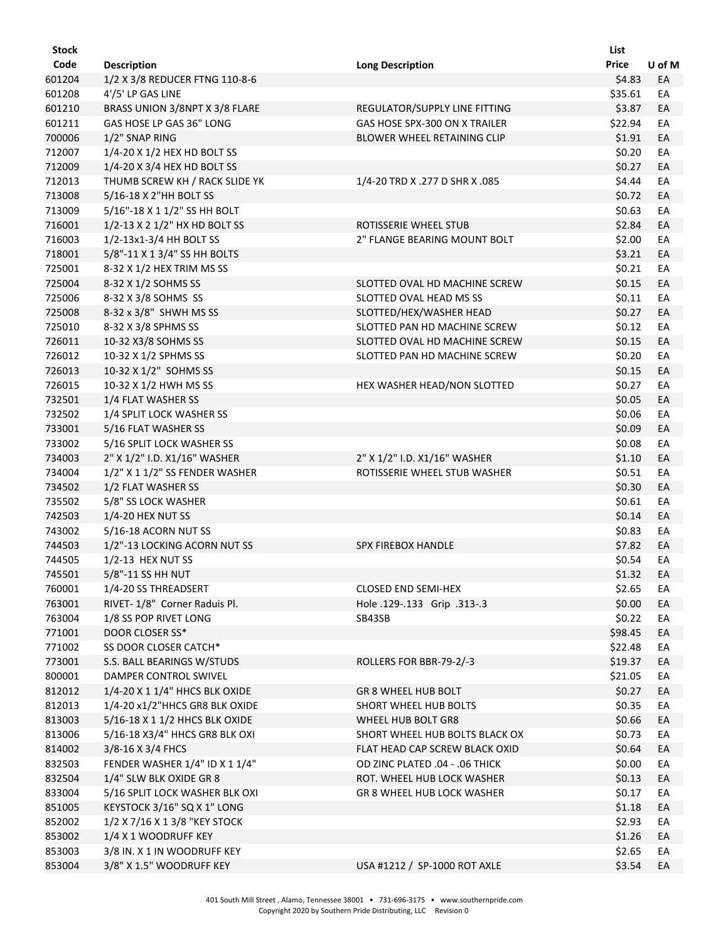| <b>Stock</b> |                                |                                | List         |        |
|--------------|--------------------------------|--------------------------------|--------------|--------|
| Code         | <b>Description</b>             | <b>Long Description</b>        | <b>Price</b> | U of M |
| 601204       | 1/2 X 3/8 REDUCER FTNG 110-8-6 |                                | \$4.83       | EA     |
| 601208       | 4'/5' LP GAS LINE              |                                | \$35.61      | EA     |
| 601210       | BRASS UNION 3/8NPT X 3/8 FLARE | REGULATOR/SUPPLY LINE FITTING  | \$3.87       | EA     |
| 601211       | GAS HOSE LP GAS 36" LONG       | GAS HOSE SPX-300 ON X TRAILER  | \$22.94      | EA     |
| 700006       | 1/2" SNAP RING                 | BLOWER WHEEL RETAINING CLIP    | \$1.91       | EA     |
| 712007       | 1/4-20 X 1/2 HEX HD BOLT SS    |                                | \$0.20       | EA     |
| 712009       | 1/4-20 X 3/4 HEX HD BOLT SS    |                                | \$0.27       | EA     |
| 712013       | THUMB SCREW KH / RACK SLIDE YK | 1/4-20 TRD X .277 D SHR X .085 | \$4.44       | EA     |
| 713008       | 5/16-18 X 2"HH BOLT SS         |                                | \$0.72       | EA     |
| 713009       | 5/16"-18 X 1 1/2" SS HH BOLT   |                                | \$0.63       | EA     |
| 716001       | 1/2-13 X 2 1/2" HX HD BOLT SS  | ROTISSERIE WHEEL STUB          | \$2.84       | EA     |
| 716003       | 1/2-13x1-3/4 HH BOLT SS        | 2" FLANGE BEARING MOUNT BOLT   | \$2.00       | EA     |
| 718001       | 5/8"-11 X 1 3/4" SS HH BOLTS   |                                | \$3.21       | EA     |
| 725001       | 8-32 X 1/2 HEX TRIM MS SS      |                                | \$0.21       | EA     |
| 725004       | 8-32 X 1/2 SOHMS SS            | SLOTTED OVAL HD MACHINE SCREW  | \$0.15       | EA     |
| 725006       | 8-32 X 3/8 SOHMS SS            | SLOTTED OVAL HEAD MS SS        | \$0.11       | EA     |
| 725008       | 8-32 x 3/8" SHWH MS SS         | SLOTTED/HEX/WASHER HEAD        | \$0.27       | EA     |
| 725010       | 8-32 X 3/8 SPHMS SS            | SLOTTED PAN HD MACHINE SCREW   | \$0.12       | EA     |
| 726011       | 10-32 X3/8 SOHMS SS            | SLOTTED OVAL HD MACHINE SCREW  | \$0.15       | EA     |
| 726012       | 10-32 X 1/2 SPHMS SS           | SLOTTED PAN HD MACHINE SCREW   | \$0.20       | EA     |
| 726013       | 10-32 X 1/2" SOHMS SS          |                                | \$0.15       | EA     |
| 726015       | 10-32 X 1/2 HWH MS SS          | HEX WASHER HEAD/NON SLOTTED    | \$0.27       | EA     |
| 732501       | 1/4 FLAT WASHER SS             |                                | \$0.05       | EA     |
| 732502       | 1/4 SPLIT LOCK WASHER SS       |                                | \$0.06       | EA     |
| 733001       | 5/16 FLAT WASHER SS            |                                | \$0.09       | EA     |
| 733002       | 5/16 SPLIT LOCK WASHER SS      |                                | \$0.08       | EA     |
| 734003       | 2" X 1/2" I.D. X1/16" WASHER   | 2" X 1/2" I.D. X1/16" WASHER   | \$1.10       | EA     |
| 734004       | 1/2" X 1 1/2" SS FENDER WASHER | ROTISSERIE WHEEL STUB WASHER   | \$0.51       | EA     |
| 734502       | 1/2 FLAT WASHER SS             |                                | \$0.30       | EA     |
| 735502       | 5/8" SS LOCK WASHER            |                                | \$0.61       | EA     |
| 742503       | 1/4-20 HEX NUT SS              |                                | \$0.14       | EA     |
| 743002       | 5/16-18 ACORN NUT SS           |                                | \$0.83       | EA     |
| 744503       | 1/2"-13 LOCKING ACORN NUT SS   | <b>SPX FIREBOX HANDLE</b>      | \$7.82       | EA     |
| 744505       | 1/2-13 HEX NUT SS              |                                | \$0.54       | EA     |
| 745501       | 5/8"-11 SS HH NUT              |                                | \$1.32       | EA     |
| 760001       | 1/4-20 SS THREADSERT           | <b>CLOSED END SEMI-HEX</b>     | \$2.65       | EA     |
| 763001       | RIVET-1/8" Corner Raduis Pl.   | Hole .129-.133 Grip .313-.3    | \$0.00       | EA     |
| 763004       | 1/8 SS POP RIVET LONG          | SB43SB                         | \$0.22       | EA     |
| 771001       | DOOR CLOSER SS*                |                                | \$98.45      | EA     |
| 771002       | SS DOOR CLOSER CATCH*          |                                | \$22.48      | EA     |
| 773001       | S.S. BALL BEARINGS W/STUDS     | ROLLERS FOR BBR-79-2/-3        | \$19.37      | EA     |
| 800001       | <b>DAMPER CONTROL SWIVEL</b>   |                                | \$21.05      | EA     |
| 812012       | 1/4-20 X 1 1/4" HHCS BLK OXIDE | GR 8 WHEEL HUB BOLT            | \$0.27       | EA     |
| 812013       | 1/4-20 x1/2"HHCS GR8 BLK OXIDE | SHORT WHEEL HUB BOLTS          | \$0.35       | EA     |
| 813003       | 5/16-18 X 1 1/2 HHCS BLK OXIDE | WHEEL HUB BOLT GR8             | \$0.66       | EA     |
| 813006       | 5/16-18 X3/4" HHCS GR8 BLK OXI | SHORT WHEEL HUB BOLTS BLACK OX | \$0.73       | EA     |
| 814002       | 3/8-16 X 3/4 FHCS              | FLAT HEAD CAP SCREW BLACK OXID | \$0.64       | EA     |
| 832503       | FENDER WASHER 1/4" ID X 1 1/4" | OD ZINC PLATED .04 - .06 THICK | \$0.00       | EA     |
| 832504       | 1/4" SLW BLK OXIDE GR 8        | ROT. WHEEL HUB LOCK WASHER     | \$0.13       | EA     |
| 833004       | 5/16 SPLIT LOCK WASHER BLK OXI | GR 8 WHEEL HUB LOCK WASHER     | \$0.17       | EA     |
| 851005       | KEYSTOCK 3/16" SQ X 1" LONG    |                                | \$1.18       | EA     |
| 852002       | 1/2 X 7/16 X 1 3/8 "KEY STOCK  |                                | \$2.93       | EA     |
| 853002       | 1/4 X 1 WOODRUFF KEY           |                                | \$1.26       | EA     |
| 853003       | 3/8 IN. X 1 IN WOODRUFF KEY    |                                | \$2.65       | EA     |
| 853004       | 3/8" X 1.5" WOODRUFF KEY       | USA #1212 / SP-1000 ROT AXLE   | \$3.54       | EA     |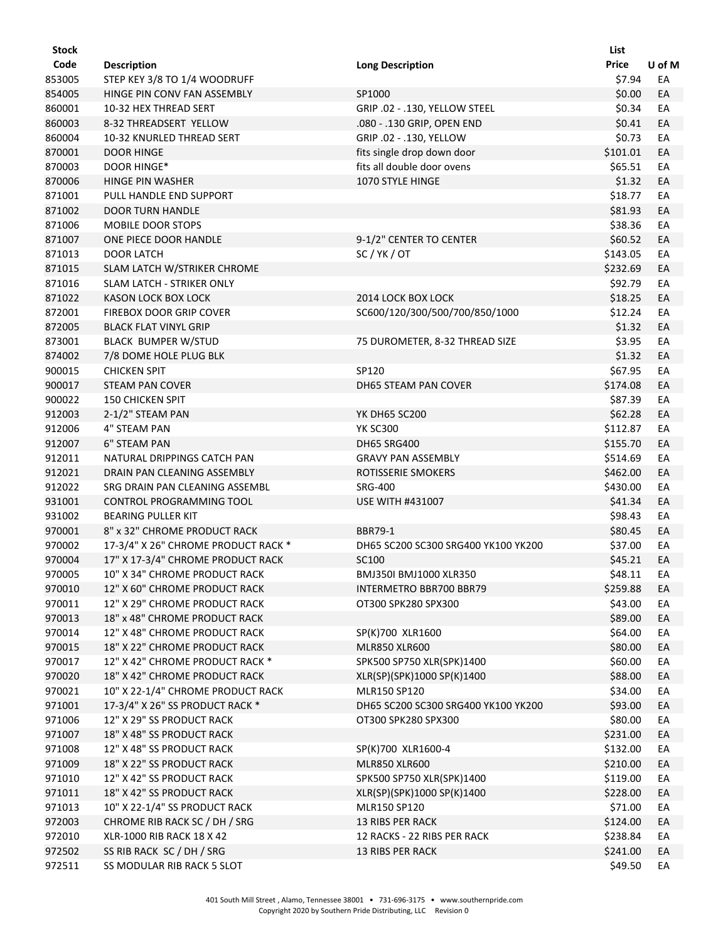| Stock  |                                                       |                                     | List         |        |
|--------|-------------------------------------------------------|-------------------------------------|--------------|--------|
| Code   | <b>Description</b>                                    | <b>Long Description</b>             | <b>Price</b> | U of M |
| 853005 | STEP KEY 3/8 TO 1/4 WOODRUFF                          |                                     | \$7.94       | EA     |
| 854005 | HINGE PIN CONV FAN ASSEMBLY                           | SP1000                              | \$0.00       | EA     |
| 860001 | 10-32 HEX THREAD SERT                                 | GRIP .02 - .130, YELLOW STEEL       | \$0.34       | EA     |
| 860003 | 8-32 THREADSERT YELLOW                                | .080 - .130 GRIP, OPEN END          | \$0.41       | EA     |
| 860004 | 10-32 KNURLED THREAD SERT                             | GRIP .02 - .130, YELLOW             | \$0.73       | EA     |
| 870001 | <b>DOOR HINGE</b>                                     | fits single drop down door          | \$101.01     | EA     |
| 870003 | DOOR HINGE*                                           | fits all double door ovens          | \$65.51      | EA     |
| 870006 | HINGE PIN WASHER                                      | 1070 STYLE HINGE                    | \$1.32       | EA     |
| 871001 | PULL HANDLE END SUPPORT                               |                                     | \$18.77      | EA     |
| 871002 | <b>DOOR TURN HANDLE</b>                               |                                     | \$81.93      | EA     |
| 871006 | MOBILE DOOR STOPS                                     |                                     | \$38.36      | EA     |
| 871007 | ONE PIECE DOOR HANDLE                                 | 9-1/2" CENTER TO CENTER             | \$60.52      | EA     |
| 871013 | <b>DOOR LATCH</b>                                     | SC/YK/OT                            | \$143.05     | EA     |
| 871015 | SLAM LATCH W/STRIKER CHROME                           |                                     | \$232.69     | EA     |
| 871016 | <b>SLAM LATCH - STRIKER ONLY</b>                      |                                     | \$92.79      | EA     |
| 871022 | KASON LOCK BOX LOCK                                   | 2014 LOCK BOX LOCK                  | \$18.25      | EA     |
| 872001 | <b>FIREBOX DOOR GRIP COVER</b>                        | SC600/120/300/500/700/850/1000      | \$12.24      | EA     |
| 872005 | <b>BLACK FLAT VINYL GRIP</b>                          |                                     | \$1.32       | EA     |
| 873001 | BLACK BUMPER W/STUD                                   | 75 DUROMETER, 8-32 THREAD SIZE      | \$3.95       | EA     |
| 874002 | 7/8 DOME HOLE PLUG BLK                                |                                     | \$1.32       | EA     |
| 900015 | <b>CHICKEN SPIT</b>                                   | SP120                               | \$67.95      | EA     |
| 900017 | <b>STEAM PAN COVER</b>                                | DH65 STEAM PAN COVER                | \$174.08     | EA     |
| 900022 | <b>150 CHICKEN SPIT</b>                               |                                     | \$87.39      | EA     |
| 912003 | 2-1/2" STEAM PAN                                      | <b>YK DH65 SC200</b>                | \$62.28      | EA     |
| 912006 | 4" STEAM PAN                                          | <b>YK SC300</b>                     | \$112.87     | EA     |
| 912007 | <b>6" STEAM PAN</b>                                   | <b>DH65 SRG400</b>                  | \$155.70     | EA     |
| 912011 | NATURAL DRIPPINGS CATCH PAN                           | <b>GRAVY PAN ASSEMBLY</b>           | \$514.69     | EA     |
| 912021 | DRAIN PAN CLEANING ASSEMBLY                           | ROTISSERIE SMOKERS                  | \$462.00     | EA     |
| 912022 | SRG DRAIN PAN CLEANING ASSEMBL                        | <b>SRG-400</b>                      | \$430.00     | EA     |
|        |                                                       | <b>USE WITH #431007</b>             | \$41.34      |        |
| 931001 | CONTROL PROGRAMMING TOOL<br><b>BEARING PULLER KIT</b> |                                     | \$98.43      | EA     |
| 931002 | 8" x 32" CHROME PRODUCT RACK                          | BBR79-1                             | \$80.45      | EA     |
| 970001 |                                                       | DH65 SC200 SC300 SRG400 YK100 YK200 | \$37.00      | EA     |
| 970002 | 17-3/4" X 26" CHROME PRODUCT RACK *                   |                                     |              | EA     |
| 970004 | 17" X 17-3/4" CHROME PRODUCT RACK                     | SC100                               | \$45.21      | EA     |
| 970005 | 10" X 34" CHROME PRODUCT RACK                         | BMJ350I BMJ1000 XLR350              | \$48.11      | EA     |
| 970010 | 12" X 60" CHROME PRODUCT RACK                         | INTERMETRO BBR700 BBR79             | \$259.88     | EA     |
| 970011 | 12" X 29" CHROME PRODUCT RACK                         | OT300 SPK280 SPX300                 | \$43.00      | EA     |
| 970013 | 18" x 48" CHROME PRODUCT RACK                         |                                     | \$89.00      | EA     |
| 970014 | 12" X 48" CHROME PRODUCT RACK                         | SP(K)700 XLR1600                    | \$64.00      | EA     |
| 970015 | 18" X 22" CHROME PRODUCT RACK                         | <b>MLR850 XLR600</b>                | \$80.00      | EA     |
| 970017 | 12" X 42" CHROME PRODUCT RACK *                       | SPK500 SP750 XLR(SPK)1400           | \$60.00      | EA     |
| 970020 | 18" X 42" CHROME PRODUCT RACK                         | XLR(SP)(SPK)1000 SP(K)1400          | \$88.00      | EA     |
| 970021 | 10" X 22-1/4" CHROME PRODUCT RACK                     | MLR150 SP120                        | \$34.00      | EA     |
| 971001 | 17-3/4" X 26" SS PRODUCT RACK *                       | DH65 SC200 SC300 SRG400 YK100 YK200 | \$93.00      | EA     |
| 971006 | 12" X 29" SS PRODUCT RACK                             | OT300 SPK280 SPX300                 | \$80.00      | EA     |
| 971007 | 18" X 48" SS PRODUCT RACK                             |                                     | \$231.00     | EA     |
| 971008 | 12" X 48" SS PRODUCT RACK                             | SP(K)700 XLR1600-4                  | \$132.00     | EA     |
| 971009 | 18" X 22" SS PRODUCT RACK                             | <b>MLR850 XLR600</b>                | \$210.00     | EA     |
| 971010 | 12" X 42" SS PRODUCT RACK                             | SPK500 SP750 XLR(SPK)1400           | \$119.00     | EA     |
| 971011 | 18" X 42" SS PRODUCT RACK                             | XLR(SP)(SPK)1000 SP(K)1400          | \$228.00     | EA     |
| 971013 | 10" X 22-1/4" SS PRODUCT RACK                         | MLR150 SP120                        | \$71.00      | EA     |
| 972003 | CHROME RIB RACK SC / DH / SRG                         | 13 RIBS PER RACK                    | \$124.00     | EA     |
| 972010 | XLR-1000 RIB RACK 18 X 42                             | 12 RACKS - 22 RIBS PER RACK         | \$238.84     | EA     |
| 972502 | SS RIB RACK SC / DH / SRG                             | 13 RIBS PER RACK                    | \$241.00     | EA     |
| 972511 | SS MODULAR RIB RACK 5 SLOT                            |                                     | \$49.50      | EA     |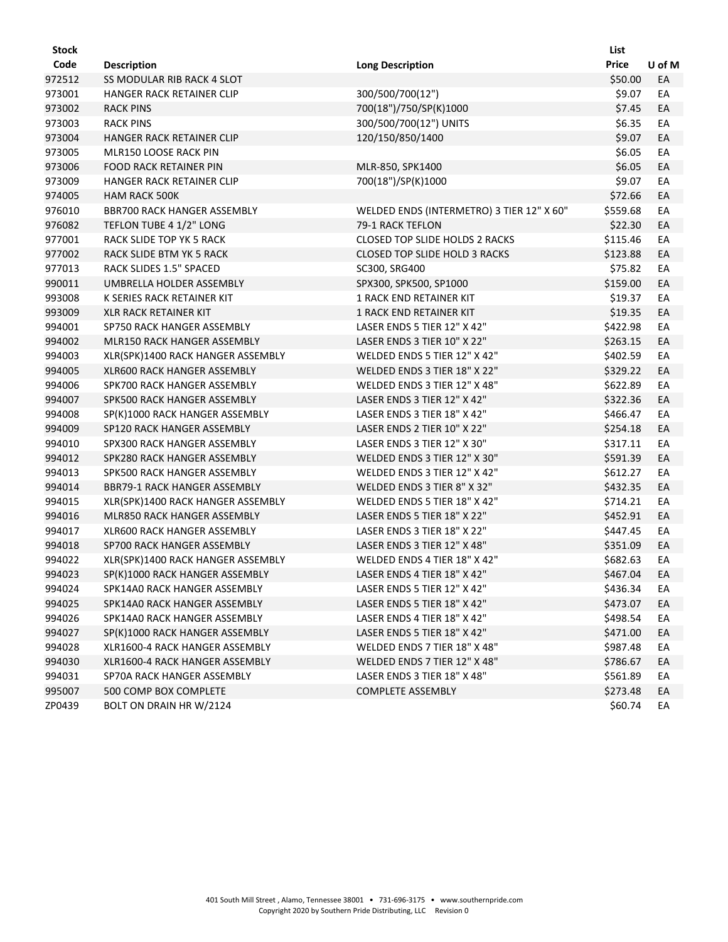| <b>Stock</b> |                                    |                                           | List     |        |
|--------------|------------------------------------|-------------------------------------------|----------|--------|
| Code         | <b>Description</b>                 | <b>Long Description</b>                   | Price    | U of M |
| 972512       | <b>SS MODULAR RIB RACK 4 SLOT</b>  |                                           | \$50.00  | EA     |
| 973001       | HANGER RACK RETAINER CLIP          | 300/500/700(12")                          | \$9.07   | EA     |
| 973002       | <b>RACK PINS</b>                   | 700(18")/750/SP(K)1000                    | \$7.45   | EA     |
| 973003       | <b>RACK PINS</b>                   | 300/500/700(12") UNITS                    | \$6.35   | EA     |
| 973004       | HANGER RACK RETAINER CLIP          | 120/150/850/1400                          | \$9.07   | EA     |
| 973005       | MLR150 LOOSE RACK PIN              |                                           | \$6.05   | EA     |
| 973006       | FOOD RACK RETAINER PIN             | MLR-850, SPK1400                          | \$6.05   | EA     |
| 973009       | <b>HANGER RACK RETAINER CLIP</b>   | 700(18")/SP(K)1000                        | \$9.07   | EA     |
| 974005       | <b>HAM RACK 500K</b>               |                                           | \$72.66  | EA     |
| 976010       | <b>BBR700 RACK HANGER ASSEMBLY</b> | WELDED ENDS (INTERMETRO) 3 TIER 12" X 60" | \$559.68 | EA     |
| 976082       | TEFLON TUBE 4 1/2" LONG            | 79-1 RACK TEFLON                          | \$22.30  | EA     |
| 977001       | RACK SLIDE TOP YK 5 RACK           | <b>CLOSED TOP SLIDE HOLDS 2 RACKS</b>     | \$115.46 | EA     |
| 977002       | RACK SLIDE BTM YK 5 RACK           | <b>CLOSED TOP SLIDE HOLD 3 RACKS</b>      | \$123.88 | EA     |
| 977013       | RACK SLIDES 1.5" SPACED            | SC300, SRG400                             | \$75.82  | EA     |
| 990011       | UMBRELLA HOLDER ASSEMBLY           | SPX300, SPK500, SP1000                    | \$159.00 | EA     |
| 993008       | K SERIES RACK RETAINER KIT         | <b>1 RACK END RETAINER KIT</b>            | \$19.37  | EA     |
| 993009       | <b>XLR RACK RETAINER KIT</b>       | 1 RACK END RETAINER KIT                   | \$19.35  | EA     |
| 994001       | SP750 RACK HANGER ASSEMBLY         | LASER ENDS 5 TIER 12" X 42"               | \$422.98 | EA     |
| 994002       | <b>MLR150 RACK HANGER ASSEMBLY</b> | LASER ENDS 3 TIER 10" X 22"               | \$263.15 | EA     |
| 994003       | XLR(SPK)1400 RACK HANGER ASSEMBLY  | WELDED ENDS 5 TIER 12" X 42"              | \$402.59 | EA     |
| 994005       | XLR600 RACK HANGER ASSEMBLY        | WELDED ENDS 3 TIER 18" X 22"              | \$329.22 | EA     |
| 994006       | SPK700 RACK HANGER ASSEMBLY        | WELDED ENDS 3 TIER 12" X 48"              | \$622.89 | EA     |
| 994007       | SPK500 RACK HANGER ASSEMBLY        | LASER ENDS 3 TIER 12" X 42"               | \$322.36 | EA     |
| 994008       | SP(K)1000 RACK HANGER ASSEMBLY     | LASER ENDS 3 TIER 18" X 42"               | \$466.47 | EA     |
| 994009       | SP120 RACK HANGER ASSEMBLY         | LASER ENDS 2 TIER 10" X 22"               | \$254.18 | EA     |
| 994010       | SPX300 RACK HANGER ASSEMBLY        | LASER ENDS 3 TIER 12" X 30"               | \$317.11 | EA     |
| 994012       | SPK280 RACK HANGER ASSEMBLY        | WELDED ENDS 3 TIER 12" X 30"              | \$591.39 | EA     |
| 994013       | SPK500 RACK HANGER ASSEMBLY        | WELDED ENDS 3 TIER 12" X 42"              | \$612.27 | EA     |
| 994014       | BBR79-1 RACK HANGER ASSEMBLY       | WELDED ENDS 3 TIER 8" X 32"               | \$432.35 | EA     |
| 994015       | XLR(SPK)1400 RACK HANGER ASSEMBLY  | WELDED ENDS 5 TIER 18" X 42"              | \$714.21 | EA     |
| 994016       | MLR850 RACK HANGER ASSEMBLY        | LASER ENDS 5 TIER 18" X 22"               | \$452.91 | EA     |
| 994017       | <b>XLR600 RACK HANGER ASSEMBLY</b> | LASER ENDS 3 TIER 18" X 22"               | \$447.45 | EA     |
| 994018       | SP700 RACK HANGER ASSEMBLY         | LASER ENDS 3 TIER 12" X 48"               | \$351.09 | EA     |
| 994022       | XLR(SPK)1400 RACK HANGER ASSEMBLY  | WELDED ENDS 4 TIER 18" X 42"              | \$682.63 | EA     |
| 994023       | SP(K)1000 RACK HANGER ASSEMBLY     | LASER ENDS 4 TIER 18" X 42"               | \$467.04 | EA     |
| 994024       | SPK14A0 RACK HANGER ASSEMBLY       | LASER ENDS 5 TIER 12" X 42"               | \$436.34 | EA     |
| 994025       | SPK14A0 RACK HANGER ASSEMBLY       | LASER ENDS 5 TIER 18" X 42"               | \$473.07 | EA     |
| 994026       | SPK14A0 RACK HANGER ASSEMBLY       | LASER ENDS 4 TIER 18" X 42"               | \$498.54 | EA     |
| 994027       | SP(K)1000 RACK HANGER ASSEMBLY     | LASER ENDS 5 TIER 18" X 42"               | \$471.00 | EA     |
| 994028       | XLR1600-4 RACK HANGER ASSEMBLY     | WELDED ENDS 7 TIER 18" X 48"              | \$987.48 | EA     |
| 994030       | XLR1600-4 RACK HANGER ASSEMBLY     | WELDED ENDS 7 TIER 12" X 48"              | \$786.67 | EA     |
| 994031       | SP70A RACK HANGER ASSEMBLY         | LASER ENDS 3 TIER 18" X 48"               | \$561.89 | EA     |
| 995007       | 500 COMP BOX COMPLETE              | <b>COMPLETE ASSEMBLY</b>                  | \$273.48 | EA     |
| ZP0439       | BOLT ON DRAIN HR W/2124            |                                           | \$60.74  | EA     |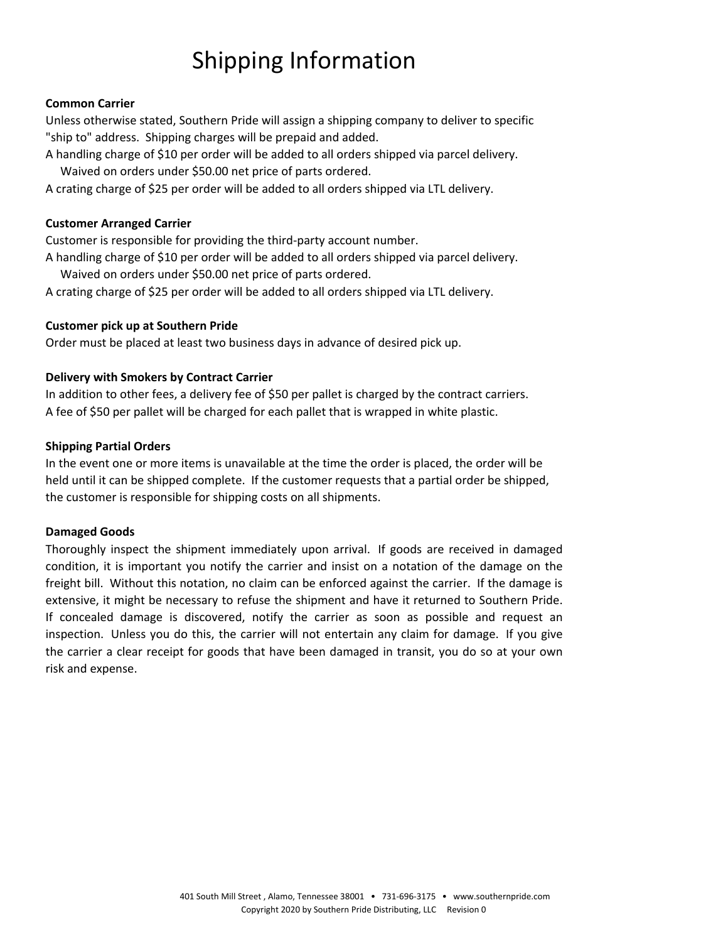# Shipping Information

#### **Common Carrier**

Unless otherwise stated, Southern Pride will assign a shipping company to deliver to specific "ship to" address. Shipping charges will be prepaid and added.

A handling charge of \$10 per order will be added to all orders shipped via parcel delivery. Waived on orders under \$50.00 net price of parts ordered.

A crating charge of \$25 per order will be added to all orders shipped via LTL delivery.

#### **Customer Arranged Carrier**

Customer is responsible for providing the third‐party account number.

A handling charge of \$10 per order will be added to all orders shipped via parcel delivery. Waived on orders under \$50.00 net price of parts ordered.

A crating charge of \$25 per order will be added to all orders shipped via LTL delivery.

#### **Customer pick up at Southern Pride**

Order must be placed at least two business days in advance of desired pick up.

#### **Delivery with Smokers by Contract Carrier**

In addition to other fees, a delivery fee of \$50 per pallet is charged by the contract carriers. A fee of \$50 per pallet will be charged for each pallet that is wrapped in white plastic.

#### **Shipping Partial Orders**

In the event one or more items is unavailable at the time the order is placed, the order will be held until it can be shipped complete. If the customer requests that a partial order be shipped, the customer is responsible for shipping costs on all shipments.

#### **Damaged Goods**

Thoroughly inspect the shipment immediately upon arrival. If goods are received in damaged condition, it is important you notify the carrier and insist on a notation of the damage on the freight bill. Without this notation, no claim can be enforced against the carrier. If the damage is extensive, it might be necessary to refuse the shipment and have it returned to Southern Pride. If concealed damage is discovered, notify the carrier as soon as possible and request an inspection. Unless you do this, the carrier will not entertain any claim for damage. If you give the carrier a clear receipt for goods that have been damaged in transit, you do so at your own risk and expense.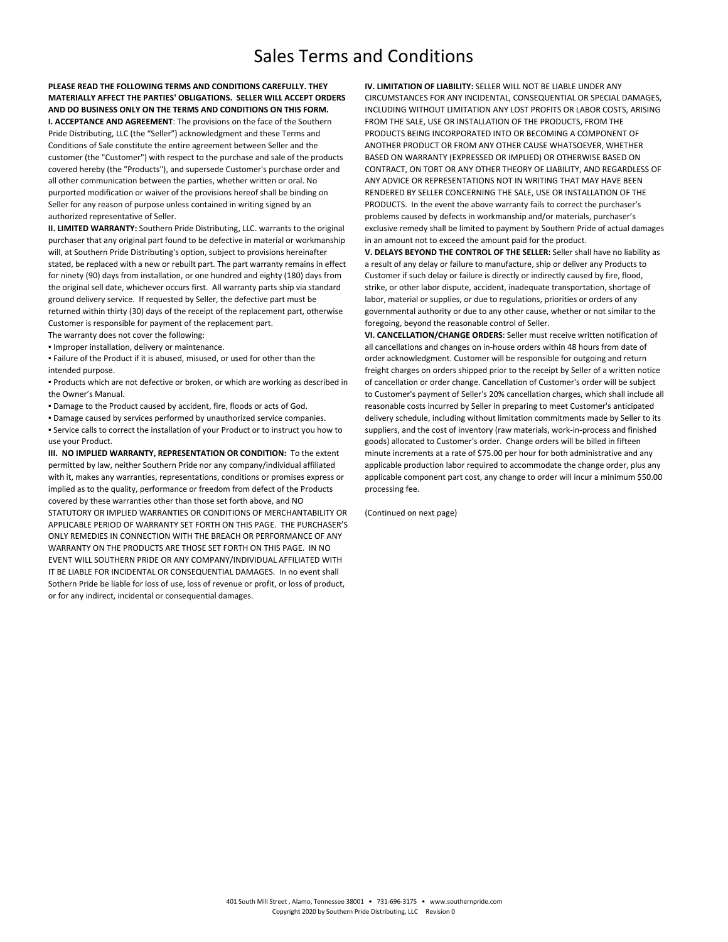### Sales Terms and Conditions

**PLEASE READ THE FOLLOWING TERMS AND CONDITIONS CAREFULLY. THEY MATERIALLY AFFECT THE PARTIES' OBLIGATIONS. SELLER WILL ACCEPT ORDERS AND DO BUSINESS ONLY ON THE TERMS AND CONDITIONS ON THIS FORM.**

**I. ACCEPTANCE AND AGREEMENT**: The provisions on the face of the Southern Pride Distributing, LLC (the "Seller") acknowledgment and these Terms and Conditions of Sale constitute the entire agreement between Seller and the customer (the "Customer") with respect to the purchase and sale of the products covered hereby (the "Products"), and supersede Customer's purchase order and all other communication between the parties, whether written or oral. No purported modification or waiver of the provisions hereof shall be binding on Seller for any reason of purpose unless contained in writing signed by an authorized representative of Seller.

**II. LIMITED WARRANTY:** Southern Pride Distributing, LLC. warrants to the original purchaser that any original part found to be defective in material or workmanship will, at Southern Pride Distributing's option, subject to provisions hereinafter stated, be replaced with a new or rebuilt part. The part warranty remains in effect for ninety (90) days from installation, or one hundred and eighty (180) days from the original sell date, whichever occurs first. All warranty parts ship via standard ground delivery service. If requested by Seller, the defective part must be returned within thirty (30) days of the receipt of the replacement part, otherwise Customer is responsible for payment of the replacement part. The warranty does not cover the following:

**• Improper installation, delivery or maintenance.** 

**Eailure of the Product if it is abused, misused, or used for other than the** intended purpose.

▪ Products which are not defective or broken, or which are working as described in the Owner's Manual.

- Damage to the Product caused by accident, fire, floods or acts of God.
- Damage caused by services performed by unauthorized service companies.

▪ Service calls to correct the installation of your Product or to instruct you how to use your Product.

**III. NO IMPLIED WARRANTY, REPRESENTATION OR CONDITION:** To the extent permitted by law, neither Southern Pride nor any company/individual affiliated with it, makes any warranties, representations, conditions or promises express or implied as to the quality, performance or freedom from defect of the Products covered by these warranties other than those set forth above, and NO STATUTORY OR IMPLIED WARRANTIES OR CONDITIONS OF MERCHANTABILITY OR APPLICABLE PERIOD OF WARRANTY SET FORTH ON THIS PAGE. THE PURCHASER'S ONLY REMEDIES IN CONNECTION WITH THE BREACH OR PERFORMANCE OF ANY WARRANTY ON THE PRODUCTS ARE THOSE SET FORTH ON THIS PAGE. IN NO EVENT WILL SOUTHERN PRIDE OR ANY COMPANY/INDIVIDUAL AFFILIATED WITH IT BE LIABLE FOR INCIDENTAL OR CONSEQUENTIAL DAMAGES. In no event shall Sothern Pride be liable for loss of use, loss of revenue or profit, or loss of product, or for any indirect, incidental or consequential damages.

**IV. LIMITATION OF LIABILITY:** SELLER WILL NOT BE LIABLE UNDER ANY CIRCUMSTANCES FOR ANY INCIDENTAL, CONSEQUENTIAL OR SPECIAL DAMAGES, INCLUDING WITHOUT LIMITATION ANY LOST PROFITS OR LABOR COSTS, ARISING FROM THE SALE, USE OR INSTALLATION OF THE PRODUCTS, FROM THE PRODUCTS BEING INCORPORATED INTO OR BECOMING A COMPONENT OF ANOTHER PRODUCT OR FROM ANY OTHER CAUSE WHATSOEVER, WHETHER BASED ON WARRANTY (EXPRESSED OR IMPLIED) OR OTHERWISE BASED ON CONTRACT, ON TORT OR ANY OTHER THEORY OF LIABILITY, AND REGARDLESS OF ANY ADVICE OR REPRESENTATIONS NOT IN WRITING THAT MAY HAVE BEEN RENDERED BY SELLER CONCERNING THE SALE, USE OR INSTALLATION OF THE PRODUCTS. In the event the above warranty fails to correct the purchaser's problems caused by defects in workmanship and/or materials, purchaser's exclusive remedy shall be limited to payment by Southern Pride of actual damages in an amount not to exceed the amount paid for the product.

**V. DELAYS BEYOND THE CONTROL OF THE SELLER:** Seller shall have no liability as a result of any delay or failure to manufacture, ship or deliver any Products to Customer if such delay or failure is directly or indirectly caused by fire, flood, strike, or other labor dispute, accident, inadequate transportation, shortage of labor, material or supplies, or due to regulations, priorities or orders of any governmental authority or due to any other cause, whether or not similar to the foregoing, beyond the reasonable control of Seller.

**VI. CANCELLATION/CHANGE ORDERS**: Seller must receive written notification of all cancellations and changes on in‐house orders within 48 hours from date of order acknowledgment. Customer will be responsible for outgoing and return freight charges on orders shipped prior to the receipt by Seller of a written notice of cancellation or order change. Cancellation of Customer's order will be subject to Customer's payment of Seller's 20% cancellation charges, which shall include all reasonable costs incurred by Seller in preparing to meet Customer's anticipated delivery schedule, including without limitation commitments made by Seller to its suppliers, and the cost of inventory (raw materials, work-in-process and finished goods) allocated to Customer's order. Change orders will be billed in fifteen minute increments at a rate of \$75.00 per hour for both administrative and any applicable production labor required to accommodate the change order, plus any applicable component part cost, any change to order will incur a minimum \$50.00 processing fee.

(Continued on next page)